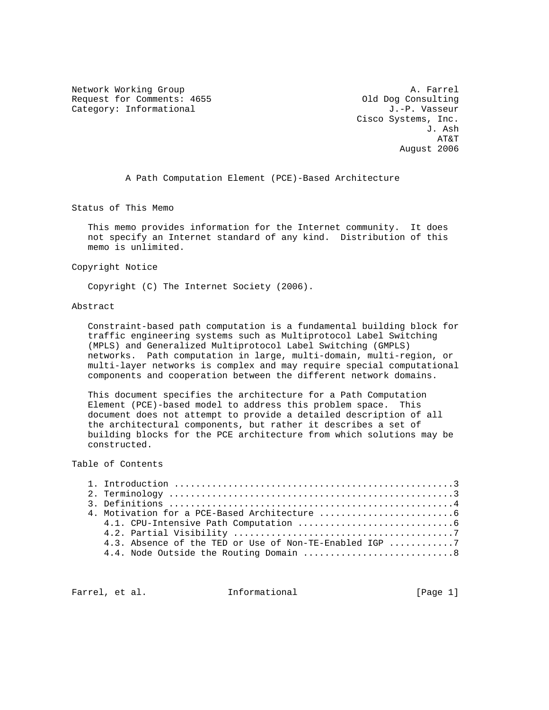Network Working Group and the set of the set of the set of the A. Farrel Request for Comments: 4655 (and the Consulting Category: Informational old Dog Consulting Category: Informational Category: Informational

 Cisco Systems, Inc. J. Ash AT&T August 2006

A Path Computation Element (PCE)-Based Architecture

Status of This Memo

 This memo provides information for the Internet community. It does not specify an Internet standard of any kind. Distribution of this memo is unlimited.

Copyright Notice

Copyright (C) The Internet Society (2006).

# Abstract

 Constraint-based path computation is a fundamental building block for traffic engineering systems such as Multiprotocol Label Switching (MPLS) and Generalized Multiprotocol Label Switching (GMPLS) networks. Path computation in large, multi-domain, multi-region, or multi-layer networks is complex and may require special computational components and cooperation between the different network domains.

 This document specifies the architecture for a Path Computation Element (PCE)-based model to address this problem space. This document does not attempt to provide a detailed description of all the architectural components, but rather it describes a set of building blocks for the PCE architecture from which solutions may be constructed.

# Table of Contents

|  | 4.3. Absence of the TED or Use of Non-TE-Enabled IGP 7 |
|--|--------------------------------------------------------|
|  |                                                        |
|  |                                                        |

Farrel, et al.  $I_n$  Informational [Page 1]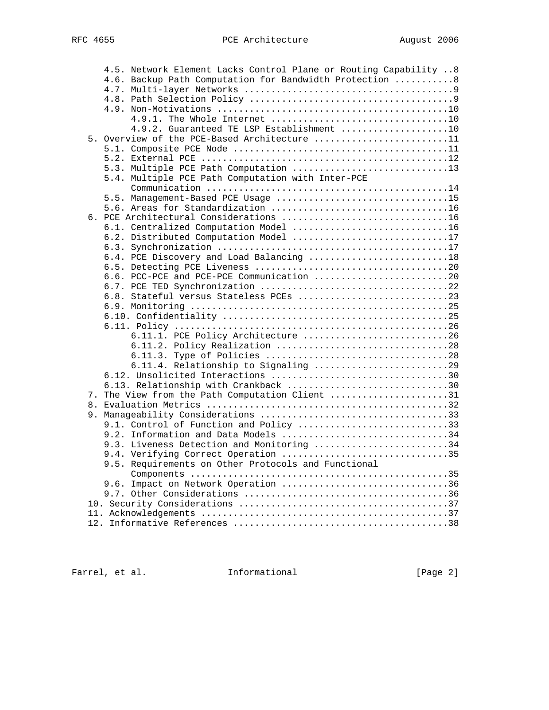| 4.5. Network Element Lacks Control Plane or Routing Capability  8 |  |
|-------------------------------------------------------------------|--|
| 4.6. Backup Path Computation for Bandwidth Protection  8          |  |
|                                                                   |  |
|                                                                   |  |
|                                                                   |  |
|                                                                   |  |
| 4.9.2. Guaranteed TE LSP Establishment 10                         |  |
| 5. Overview of the PCE-Based Architecture 11                      |  |
|                                                                   |  |
|                                                                   |  |
|                                                                   |  |
| 5.4. Multiple PCE Path Computation with Inter-PCE                 |  |
|                                                                   |  |
| 5.5. Management-Based PCE Usage 15                                |  |
|                                                                   |  |
| 6. PCE Architectural Considerations 16                            |  |
| 6.1. Centralized Computation Model 16                             |  |
| 6.2. Distributed Computation Model 17                             |  |
|                                                                   |  |
| 6.4. PCE Discovery and Load Balancing 18                          |  |
|                                                                   |  |
| 6.6. PCC-PCE and PCE-PCE Communication 20                         |  |
|                                                                   |  |
|                                                                   |  |
|                                                                   |  |
|                                                                   |  |
| 6.11.1. PCE Policy Architecture 26                                |  |
| 6.11.2. Policy Realization 28                                     |  |
|                                                                   |  |
| 6.11.4. Relationship to Signaling 29                              |  |
|                                                                   |  |
| 6.13. Relationship with Crankback 30                              |  |
| 7. The View from the Path Computation Client 31                   |  |
|                                                                   |  |
|                                                                   |  |
| 9.1. Control of Function and Policy 33                            |  |
| 9.2. Information and Data Models 34                               |  |
| 9.3. Liveness Detection and Monitoring 34                         |  |
| 9.4. Verifying Correct Operation 35                               |  |
| 9.5. Requirements on Other Protocols and Functional               |  |
|                                                                   |  |
| 9.6. Impact on Network Operation 36                               |  |
|                                                                   |  |
|                                                                   |  |
|                                                                   |  |
|                                                                   |  |

Farrel, et al. 1nformational [Page 2]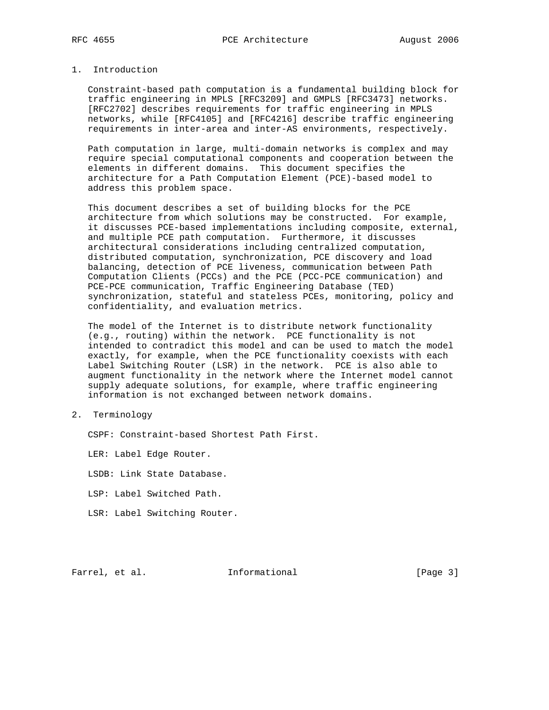## 1. Introduction

 Constraint-based path computation is a fundamental building block for traffic engineering in MPLS [RFC3209] and GMPLS [RFC3473] networks. [RFC2702] describes requirements for traffic engineering in MPLS networks, while [RFC4105] and [RFC4216] describe traffic engineering requirements in inter-area and inter-AS environments, respectively.

 Path computation in large, multi-domain networks is complex and may require special computational components and cooperation between the elements in different domains. This document specifies the architecture for a Path Computation Element (PCE)-based model to address this problem space.

 This document describes a set of building blocks for the PCE architecture from which solutions may be constructed. For example, it discusses PCE-based implementations including composite, external, and multiple PCE path computation. Furthermore, it discusses architectural considerations including centralized computation, distributed computation, synchronization, PCE discovery and load balancing, detection of PCE liveness, communication between Path Computation Clients (PCCs) and the PCE (PCC-PCE communication) and PCE-PCE communication, Traffic Engineering Database (TED) synchronization, stateful and stateless PCEs, monitoring, policy and confidentiality, and evaluation metrics.

 The model of the Internet is to distribute network functionality (e.g., routing) within the network. PCE functionality is not intended to contradict this model and can be used to match the model exactly, for example, when the PCE functionality coexists with each Label Switching Router (LSR) in the network. PCE is also able to augment functionality in the network where the Internet model cannot supply adequate solutions, for example, where traffic engineering information is not exchanged between network domains.

## 2. Terminology

CSPF: Constraint-based Shortest Path First.

LER: Label Edge Router.

LSDB: Link State Database.

LSP: Label Switched Path.

LSR: Label Switching Router.

Farrel, et al. **Informational** [Page 3]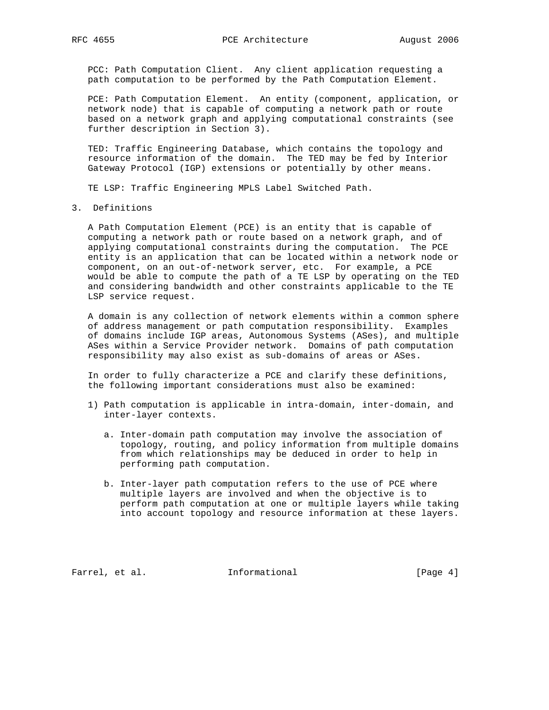PCC: Path Computation Client. Any client application requesting a path computation to be performed by the Path Computation Element.

 PCE: Path Computation Element. An entity (component, application, or network node) that is capable of computing a network path or route based on a network graph and applying computational constraints (see further description in Section 3).

 TED: Traffic Engineering Database, which contains the topology and resource information of the domain. The TED may be fed by Interior Gateway Protocol (IGP) extensions or potentially by other means.

TE LSP: Traffic Engineering MPLS Label Switched Path.

3. Definitions

 A Path Computation Element (PCE) is an entity that is capable of computing a network path or route based on a network graph, and of applying computational constraints during the computation. The PCE entity is an application that can be located within a network node or component, on an out-of-network server, etc. For example, a PCE would be able to compute the path of a TE LSP by operating on the TED and considering bandwidth and other constraints applicable to the TE LSP service request.

 A domain is any collection of network elements within a common sphere of address management or path computation responsibility. Examples of domains include IGP areas, Autonomous Systems (ASes), and multiple ASes within a Service Provider network. Domains of path computation responsibility may also exist as sub-domains of areas or ASes.

 In order to fully characterize a PCE and clarify these definitions, the following important considerations must also be examined:

- 1) Path computation is applicable in intra-domain, inter-domain, and inter-layer contexts.
	- a. Inter-domain path computation may involve the association of topology, routing, and policy information from multiple domains from which relationships may be deduced in order to help in performing path computation.
	- b. Inter-layer path computation refers to the use of PCE where multiple layers are involved and when the objective is to perform path computation at one or multiple layers while taking into account topology and resource information at these layers.

Farrel, et al. 1nformational [Page 4]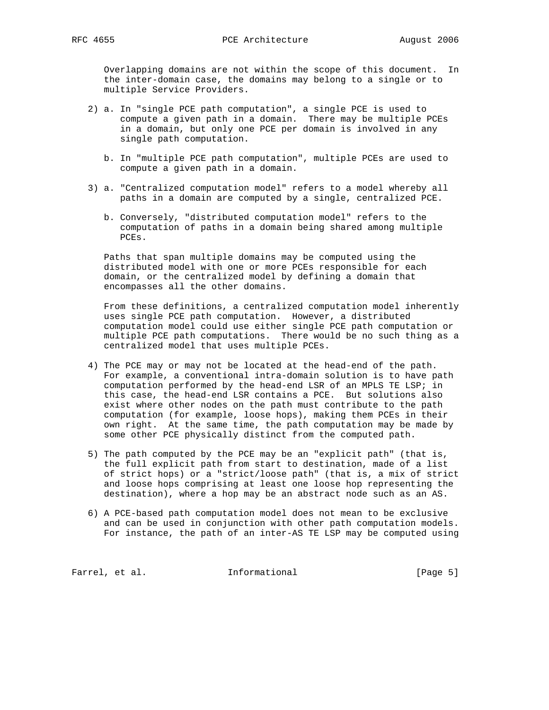Overlapping domains are not within the scope of this document. In the inter-domain case, the domains may belong to a single or to multiple Service Providers.

- 2) a. In "single PCE path computation", a single PCE is used to compute a given path in a domain. There may be multiple PCEs in a domain, but only one PCE per domain is involved in any single path computation.
	- b. In "multiple PCE path computation", multiple PCEs are used to compute a given path in a domain.
- 3) a. "Centralized computation model" refers to a model whereby all paths in a domain are computed by a single, centralized PCE.
	- b. Conversely, "distributed computation model" refers to the computation of paths in a domain being shared among multiple PCEs.

 Paths that span multiple domains may be computed using the distributed model with one or more PCEs responsible for each domain, or the centralized model by defining a domain that encompasses all the other domains.

 From these definitions, a centralized computation model inherently uses single PCE path computation. However, a distributed computation model could use either single PCE path computation or multiple PCE path computations. There would be no such thing as a centralized model that uses multiple PCEs.

- 4) The PCE may or may not be located at the head-end of the path. For example, a conventional intra-domain solution is to have path computation performed by the head-end LSR of an MPLS TE LSP; in this case, the head-end LSR contains a PCE. But solutions also exist where other nodes on the path must contribute to the path computation (for example, loose hops), making them PCEs in their own right. At the same time, the path computation may be made by some other PCE physically distinct from the computed path.
- 5) The path computed by the PCE may be an "explicit path" (that is, the full explicit path from start to destination, made of a list of strict hops) or a "strict/loose path" (that is, a mix of strict and loose hops comprising at least one loose hop representing the destination), where a hop may be an abstract node such as an AS.
- 6) A PCE-based path computation model does not mean to be exclusive and can be used in conjunction with other path computation models. For instance, the path of an inter-AS TE LSP may be computed using

Farrel, et al. 1nformational 1999 [Page 5]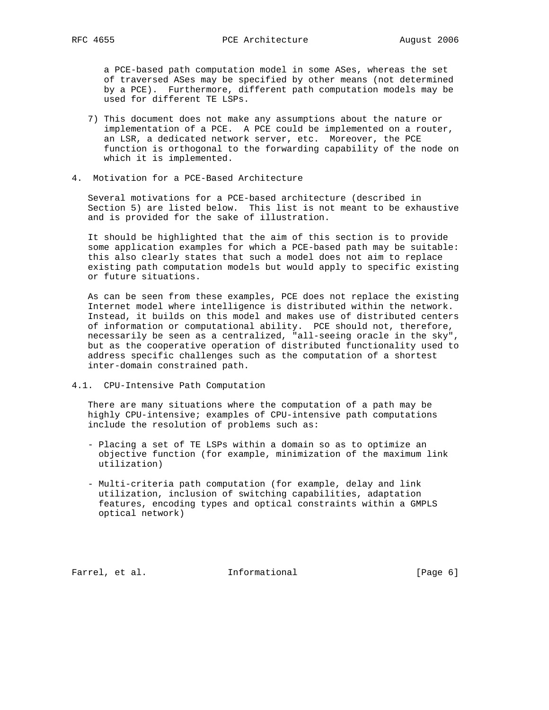a PCE-based path computation model in some ASes, whereas the set of traversed ASes may be specified by other means (not determined by a PCE). Furthermore, different path computation models may be used for different TE LSPs.

- 7) This document does not make any assumptions about the nature or implementation of a PCE. A PCE could be implemented on a router, an LSR, a dedicated network server, etc. Moreover, the PCE function is orthogonal to the forwarding capability of the node on which it is implemented.
- 4. Motivation for a PCE-Based Architecture

 Several motivations for a PCE-based architecture (described in Section 5) are listed below. This list is not meant to be exhaustive and is provided for the sake of illustration.

 It should be highlighted that the aim of this section is to provide some application examples for which a PCE-based path may be suitable: this also clearly states that such a model does not aim to replace existing path computation models but would apply to specific existing or future situations.

 As can be seen from these examples, PCE does not replace the existing Internet model where intelligence is distributed within the network. Instead, it builds on this model and makes use of distributed centers of information or computational ability. PCE should not, therefore, necessarily be seen as a centralized, "all-seeing oracle in the sky", but as the cooperative operation of distributed functionality used to address specific challenges such as the computation of a shortest inter-domain constrained path.

4.1. CPU-Intensive Path Computation

 There are many situations where the computation of a path may be highly CPU-intensive; examples of CPU-intensive path computations include the resolution of problems such as:

- Placing a set of TE LSPs within a domain so as to optimize an objective function (for example, minimization of the maximum link utilization)
- Multi-criteria path computation (for example, delay and link utilization, inclusion of switching capabilities, adaptation features, encoding types and optical constraints within a GMPLS optical network)

Farrel, et al. 1nformational 1999 [Page 6]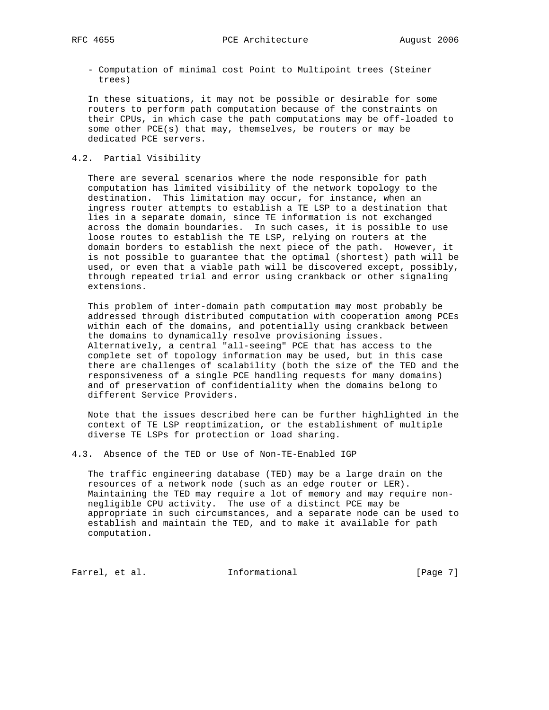- Computation of minimal cost Point to Multipoint trees (Steiner trees)

 In these situations, it may not be possible or desirable for some routers to perform path computation because of the constraints on their CPUs, in which case the path computations may be off-loaded to some other PCE(s) that may, themselves, be routers or may be dedicated PCE servers.

## 4.2. Partial Visibility

 There are several scenarios where the node responsible for path computation has limited visibility of the network topology to the destination. This limitation may occur, for instance, when an ingress router attempts to establish a TE LSP to a destination that lies in a separate domain, since TE information is not exchanged across the domain boundaries. In such cases, it is possible to use loose routes to establish the TE LSP, relying on routers at the domain borders to establish the next piece of the path. However, it is not possible to guarantee that the optimal (shortest) path will be used, or even that a viable path will be discovered except, possibly, through repeated trial and error using crankback or other signaling extensions.

 This problem of inter-domain path computation may most probably be addressed through distributed computation with cooperation among PCEs within each of the domains, and potentially using crankback between the domains to dynamically resolve provisioning issues. Alternatively, a central "all-seeing" PCE that has access to the complete set of topology information may be used, but in this case there are challenges of scalability (both the size of the TED and the responsiveness of a single PCE handling requests for many domains) and of preservation of confidentiality when the domains belong to different Service Providers.

 Note that the issues described here can be further highlighted in the context of TE LSP reoptimization, or the establishment of multiple diverse TE LSPs for protection or load sharing.

4.3. Absence of the TED or Use of Non-TE-Enabled IGP

 The traffic engineering database (TED) may be a large drain on the resources of a network node (such as an edge router or LER). Maintaining the TED may require a lot of memory and may require non negligible CPU activity. The use of a distinct PCE may be appropriate in such circumstances, and a separate node can be used to establish and maintain the TED, and to make it available for path computation.

Farrel, et al. 1nformational 1999 [Page 7]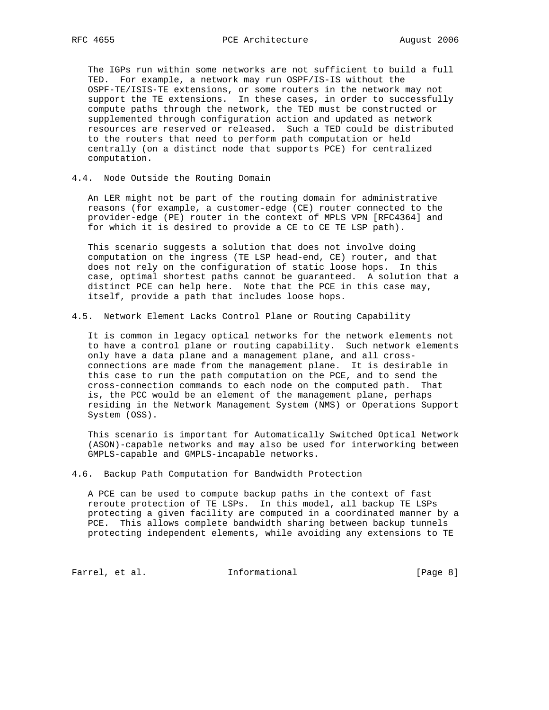The IGPs run within some networks are not sufficient to build a full TED. For example, a network may run OSPF/IS-IS without the OSPF-TE/ISIS-TE extensions, or some routers in the network may not support the TE extensions. In these cases, in order to successfully compute paths through the network, the TED must be constructed or supplemented through configuration action and updated as network resources are reserved or released. Such a TED could be distributed to the routers that need to perform path computation or held centrally (on a distinct node that supports PCE) for centralized computation.

4.4. Node Outside the Routing Domain

 An LER might not be part of the routing domain for administrative reasons (for example, a customer-edge (CE) router connected to the provider-edge (PE) router in the context of MPLS VPN [RFC4364] and for which it is desired to provide a CE to CE TE LSP path).

 This scenario suggests a solution that does not involve doing computation on the ingress (TE LSP head-end, CE) router, and that does not rely on the configuration of static loose hops. In this case, optimal shortest paths cannot be guaranteed. A solution that a distinct PCE can help here. Note that the PCE in this case may, itself, provide a path that includes loose hops.

4.5. Network Element Lacks Control Plane or Routing Capability

 It is common in legacy optical networks for the network elements not to have a control plane or routing capability. Such network elements only have a data plane and a management plane, and all cross connections are made from the management plane. It is desirable in this case to run the path computation on the PCE, and to send the cross-connection commands to each node on the computed path. That is, the PCC would be an element of the management plane, perhaps residing in the Network Management System (NMS) or Operations Support System (OSS).

 This scenario is important for Automatically Switched Optical Network (ASON)-capable networks and may also be used for interworking between GMPLS-capable and GMPLS-incapable networks.

4.6. Backup Path Computation for Bandwidth Protection

 A PCE can be used to compute backup paths in the context of fast reroute protection of TE LSPs. In this model, all backup TE LSPs protecting a given facility are computed in a coordinated manner by a PCE. This allows complete bandwidth sharing between backup tunnels protecting independent elements, while avoiding any extensions to TE

Farrel, et al. 1nformational 1999 [Page 8]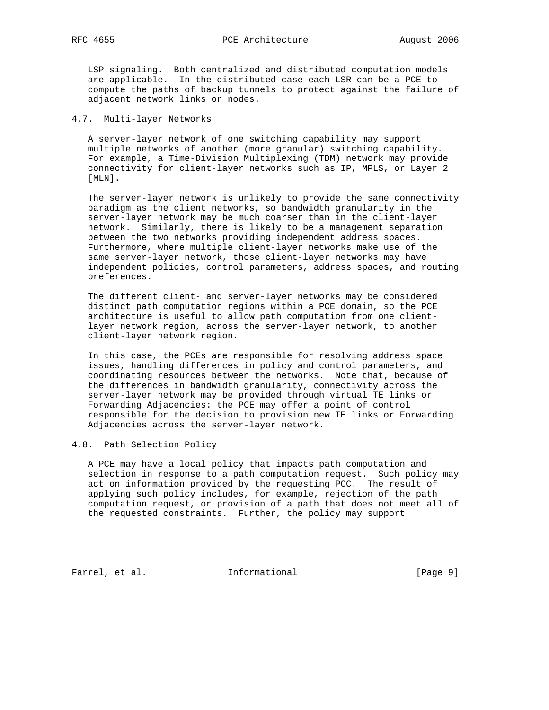LSP signaling. Both centralized and distributed computation models are applicable. In the distributed case each LSR can be a PCE to compute the paths of backup tunnels to protect against the failure of adjacent network links or nodes.

### 4.7. Multi-layer Networks

 A server-layer network of one switching capability may support multiple networks of another (more granular) switching capability. For example, a Time-Division Multiplexing (TDM) network may provide connectivity for client-layer networks such as IP, MPLS, or Layer 2 [MLN].

 The server-layer network is unlikely to provide the same connectivity paradigm as the client networks, so bandwidth granularity in the server-layer network may be much coarser than in the client-layer network. Similarly, there is likely to be a management separation between the two networks providing independent address spaces. Furthermore, where multiple client-layer networks make use of the same server-layer network, those client-layer networks may have independent policies, control parameters, address spaces, and routing preferences.

 The different client- and server-layer networks may be considered distinct path computation regions within a PCE domain, so the PCE architecture is useful to allow path computation from one client layer network region, across the server-layer network, to another client-layer network region.

 In this case, the PCEs are responsible for resolving address space issues, handling differences in policy and control parameters, and coordinating resources between the networks. Note that, because of the differences in bandwidth granularity, connectivity across the server-layer network may be provided through virtual TE links or Forwarding Adjacencies: the PCE may offer a point of control responsible for the decision to provision new TE links or Forwarding Adjacencies across the server-layer network.

## 4.8. Path Selection Policy

 A PCE may have a local policy that impacts path computation and selection in response to a path computation request. Such policy may act on information provided by the requesting PCC. The result of applying such policy includes, for example, rejection of the path computation request, or provision of a path that does not meet all of the requested constraints. Further, the policy may support

Farrel, et al. 1nformational 1999 [Page 9]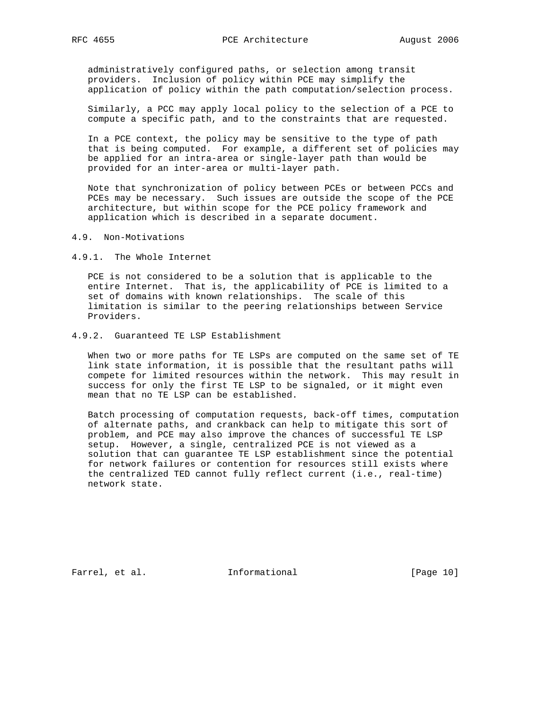administratively configured paths, or selection among transit providers. Inclusion of policy within PCE may simplify the application of policy within the path computation/selection process.

 Similarly, a PCC may apply local policy to the selection of a PCE to compute a specific path, and to the constraints that are requested.

 In a PCE context, the policy may be sensitive to the type of path that is being computed. For example, a different set of policies may be applied for an intra-area or single-layer path than would be provided for an inter-area or multi-layer path.

 Note that synchronization of policy between PCEs or between PCCs and PCEs may be necessary. Such issues are outside the scope of the PCE architecture, but within scope for the PCE policy framework and application which is described in a separate document.

### 4.9. Non-Motivations

4.9.1. The Whole Internet

 PCE is not considered to be a solution that is applicable to the entire Internet. That is, the applicability of PCE is limited to a set of domains with known relationships. The scale of this limitation is similar to the peering relationships between Service Providers.

## 4.9.2. Guaranteed TE LSP Establishment

 When two or more paths for TE LSPs are computed on the same set of TE link state information, it is possible that the resultant paths will compete for limited resources within the network. This may result in success for only the first TE LSP to be signaled, or it might even mean that no TE LSP can be established.

 Batch processing of computation requests, back-off times, computation of alternate paths, and crankback can help to mitigate this sort of problem, and PCE may also improve the chances of successful TE LSP setup. However, a single, centralized PCE is not viewed as a solution that can guarantee TE LSP establishment since the potential for network failures or contention for resources still exists where the centralized TED cannot fully reflect current (i.e., real-time) network state.

Farrel, et al. 1nformational [Page 10]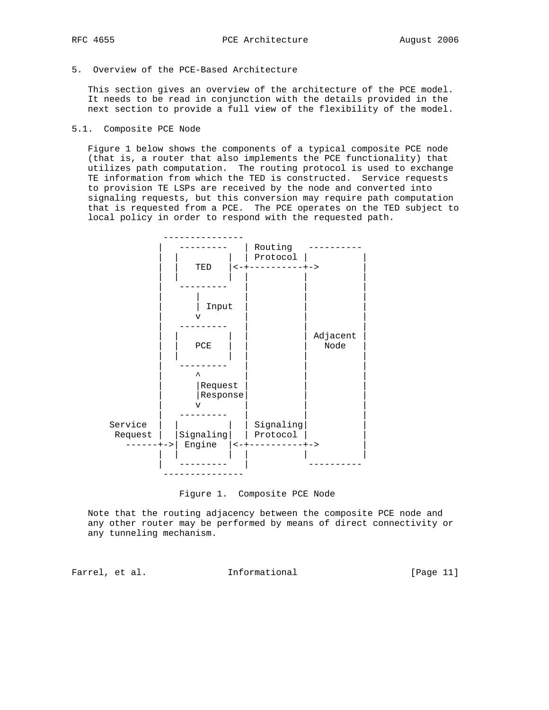5. Overview of the PCE-Based Architecture

 This section gives an overview of the architecture of the PCE model. It needs to be read in conjunction with the details provided in the next section to provide a full view of the flexibility of the model.

5.1. Composite PCE Node

 Figure 1 below shows the components of a typical composite PCE node (that is, a router that also implements the PCE functionality) that utilizes path computation. The routing protocol is used to exchange TE information from which the TED is constructed. Service requests to provision TE LSPs are received by the node and converted into signaling requests, but this conversion may require path computation that is requested from a PCE. The PCE operates on the TED subject to local policy in order to respond with the requested path.



Figure 1. Composite PCE Node

 Note that the routing adjacency between the composite PCE node and any other router may be performed by means of direct connectivity or any tunneling mechanism.

Farrel, et al. 1nformational 11 [Page 11]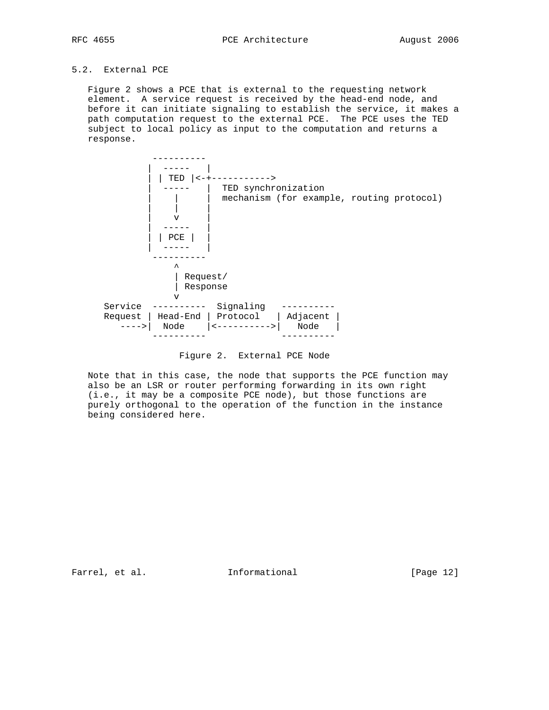# 5.2. External PCE

 Figure 2 shows a PCE that is external to the requesting network element. A service request is received by the head-end node, and before it can initiate signaling to establish the service, it makes a path computation request to the external PCE. The PCE uses the TED subject to local policy as input to the computation and returns a response.



Figure 2. External PCE Node

 Note that in this case, the node that supports the PCE function may also be an LSR or router performing forwarding in its own right (i.e., it may be a composite PCE node), but those functions are purely orthogonal to the operation of the function in the instance being considered here.

Farrel, et al. 1nformational [Page 12]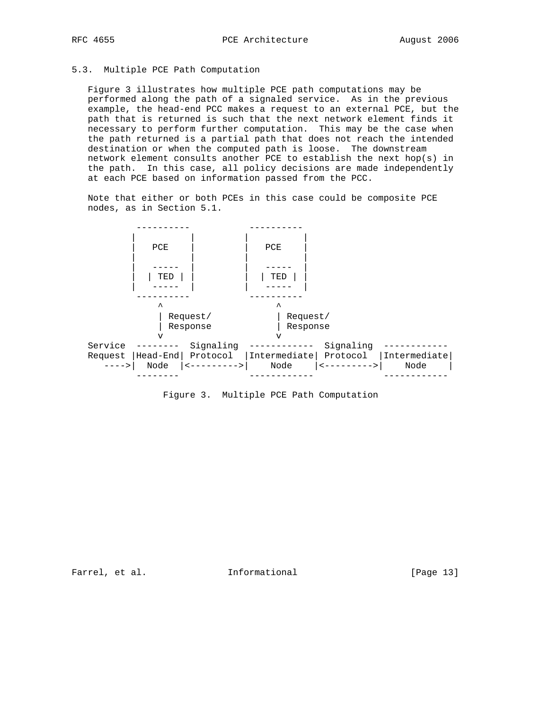# 5.3. Multiple PCE Path Computation

 Figure 3 illustrates how multiple PCE path computations may be performed along the path of a signaled service. As in the previous example, the head-end PCC makes a request to an external PCE, but the path that is returned is such that the next network element finds it necessary to perform further computation. This may be the case when the path returned is a partial path that does not reach the intended destination or when the computed path is loose. The downstream network element consults another PCE to establish the next hop(s) in the path. In this case, all policy decisions are made independently at each PCE based on information passed from the PCC.

 Note that either or both PCEs in this case could be composite PCE nodes, as in Section 5.1.



Figure 3. Multiple PCE Path Computation

Farrel, et al. 1nformational 1999 [Page 13]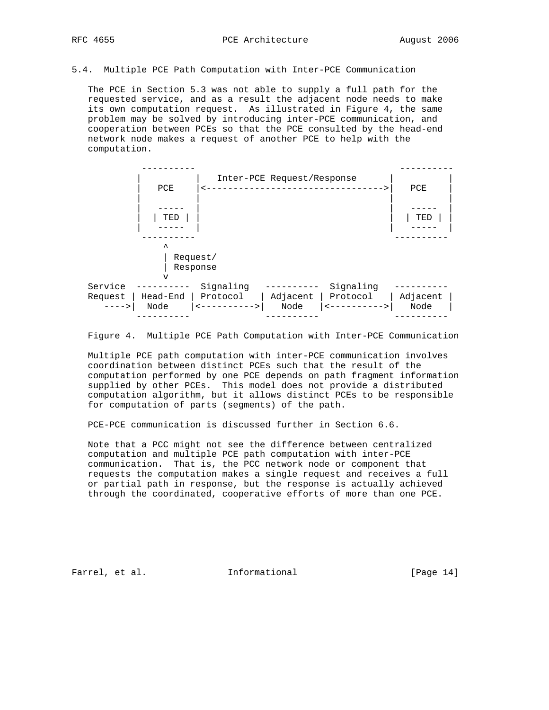#### 5.4. Multiple PCE Path Computation with Inter-PCE Communication

 The PCE in Section 5.3 was not able to supply a full path for the requested service, and as a result the adjacent node needs to make its own computation request. As illustrated in Figure 4, the same problem may be solved by introducing inter-PCE communication, and cooperation between PCEs so that the PCE consulted by the head-end network node makes a request of another PCE to help with the computation.



Figure 4. Multiple PCE Path Computation with Inter-PCE Communication

 Multiple PCE path computation with inter-PCE communication involves coordination between distinct PCEs such that the result of the computation performed by one PCE depends on path fragment information supplied by other PCEs. This model does not provide a distributed computation algorithm, but it allows distinct PCEs to be responsible for computation of parts (segments) of the path.

PCE-PCE communication is discussed further in Section 6.6.

 Note that a PCC might not see the difference between centralized computation and multiple PCE path computation with inter-PCE communication. That is, the PCC network node or component that requests the computation makes a single request and receives a full or partial path in response, but the response is actually achieved through the coordinated, cooperative efforts of more than one PCE.

Farrel, et al. 1nformational 1999 [Page 14]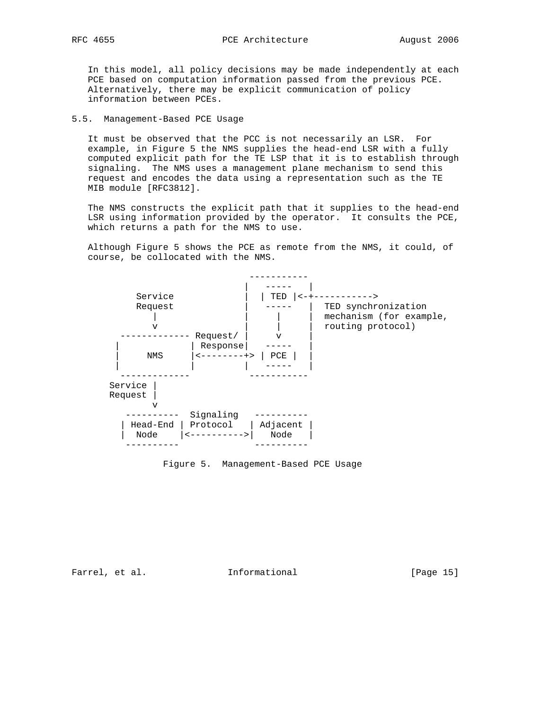In this model, all policy decisions may be made independently at each PCE based on computation information passed from the previous PCE. Alternatively, there may be explicit communication of policy information between PCEs.

#### 5.5. Management-Based PCE Usage

 It must be observed that the PCC is not necessarily an LSR. For example, in Figure 5 the NMS supplies the head-end LSR with a fully computed explicit path for the TE LSP that it is to establish through signaling. The NMS uses a management plane mechanism to send this request and encodes the data using a representation such as the TE MIB module [RFC3812].

 The NMS constructs the explicit path that it supplies to the head-end LSR using information provided by the operator. It consults the PCE, which returns a path for the NMS to use.

 Although Figure 5 shows the PCE as remote from the NMS, it could, of course, be collocated with the NMS.



Figure 5. Management-Based PCE Usage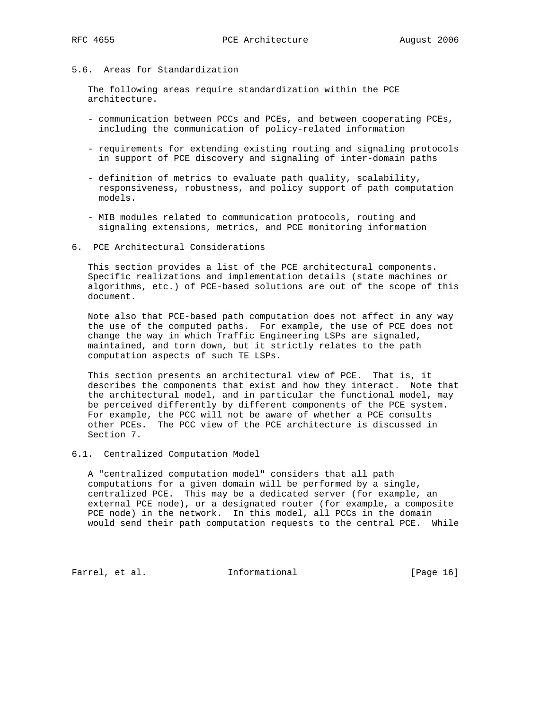# 5.6. Areas for Standardization

 The following areas require standardization within the PCE architecture.

- communication between PCCs and PCEs, and between cooperating PCEs, including the communication of policy-related information
- requirements for extending existing routing and signaling protocols in support of PCE discovery and signaling of inter-domain paths
- definition of metrics to evaluate path quality, scalability, responsiveness, robustness, and policy support of path computation models.
- MIB modules related to communication protocols, routing and signaling extensions, metrics, and PCE monitoring information
- 6. PCE Architectural Considerations

 This section provides a list of the PCE architectural components. Specific realizations and implementation details (state machines or algorithms, etc.) of PCE-based solutions are out of the scope of this document.

 Note also that PCE-based path computation does not affect in any way the use of the computed paths. For example, the use of PCE does not change the way in which Traffic Engineering LSPs are signaled, maintained, and torn down, but it strictly relates to the path computation aspects of such TE LSPs.

 This section presents an architectural view of PCE. That is, it describes the components that exist and how they interact. Note that the architectural model, and in particular the functional model, may be perceived differently by different components of the PCE system. For example, the PCC will not be aware of whether a PCE consults other PCEs. The PCC view of the PCE architecture is discussed in Section 7.

### 6.1. Centralized Computation Model

 A "centralized computation model" considers that all path computations for a given domain will be performed by a single, centralized PCE. This may be a dedicated server (for example, an external PCE node), or a designated router (for example, a composite PCE node) in the network. In this model, all PCCs in the domain would send their path computation requests to the central PCE. While

Farrel, et al. 1nformational [Page 16]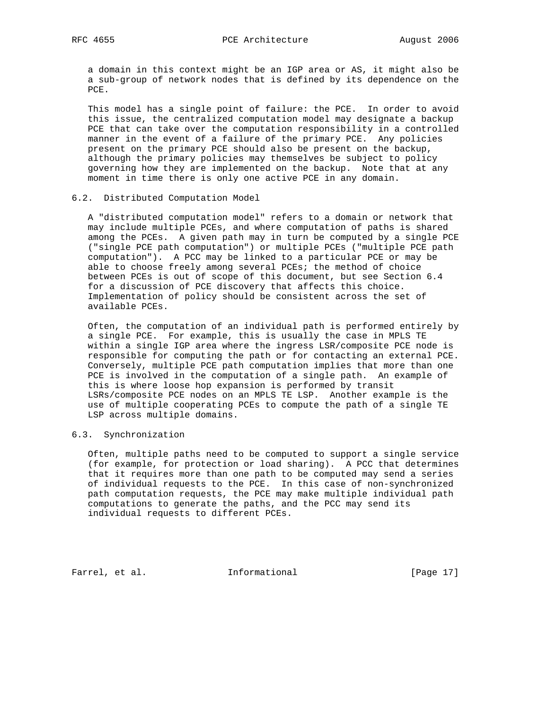a domain in this context might be an IGP area or AS, it might also be a sub-group of network nodes that is defined by its dependence on the PCE.

 This model has a single point of failure: the PCE. In order to avoid this issue, the centralized computation model may designate a backup PCE that can take over the computation responsibility in a controlled manner in the event of a failure of the primary PCE. Any policies present on the primary PCE should also be present on the backup, although the primary policies may themselves be subject to policy governing how they are implemented on the backup. Note that at any moment in time there is only one active PCE in any domain.

#### 6.2. Distributed Computation Model

 A "distributed computation model" refers to a domain or network that may include multiple PCEs, and where computation of paths is shared among the PCEs. A given path may in turn be computed by a single PCE ("single PCE path computation") or multiple PCEs ("multiple PCE path computation"). A PCC may be linked to a particular PCE or may be able to choose freely among several PCEs; the method of choice between PCEs is out of scope of this document, but see Section 6.4 for a discussion of PCE discovery that affects this choice. Implementation of policy should be consistent across the set of available PCEs.

 Often, the computation of an individual path is performed entirely by a single PCE. For example, this is usually the case in MPLS TE within a single IGP area where the ingress LSR/composite PCE node is responsible for computing the path or for contacting an external PCE. Conversely, multiple PCE path computation implies that more than one PCE is involved in the computation of a single path. An example of this is where loose hop expansion is performed by transit LSRs/composite PCE nodes on an MPLS TE LSP. Another example is the use of multiple cooperating PCEs to compute the path of a single TE LSP across multiple domains.

### 6.3. Synchronization

 Often, multiple paths need to be computed to support a single service (for example, for protection or load sharing). A PCC that determines that it requires more than one path to be computed may send a series of individual requests to the PCE. In this case of non-synchronized path computation requests, the PCE may make multiple individual path computations to generate the paths, and the PCC may send its individual requests to different PCEs.

Farrel, et al. Informational [Page 17]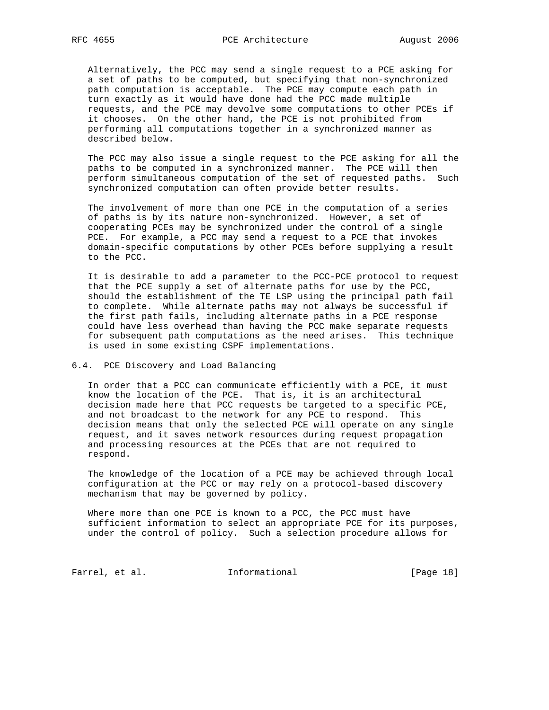Alternatively, the PCC may send a single request to a PCE asking for a set of paths to be computed, but specifying that non-synchronized path computation is acceptable. The PCE may compute each path in turn exactly as it would have done had the PCC made multiple requests, and the PCE may devolve some computations to other PCEs if it chooses. On the other hand, the PCE is not prohibited from performing all computations together in a synchronized manner as described below.

 The PCC may also issue a single request to the PCE asking for all the paths to be computed in a synchronized manner. The PCE will then perform simultaneous computation of the set of requested paths. Such synchronized computation can often provide better results.

 The involvement of more than one PCE in the computation of a series of paths is by its nature non-synchronized. However, a set of cooperating PCEs may be synchronized under the control of a single PCE. For example, a PCC may send a request to a PCE that invokes domain-specific computations by other PCEs before supplying a result to the PCC.

 It is desirable to add a parameter to the PCC-PCE protocol to request that the PCE supply a set of alternate paths for use by the PCC, should the establishment of the TE LSP using the principal path fail to complete. While alternate paths may not always be successful if the first path fails, including alternate paths in a PCE response could have less overhead than having the PCC make separate requests for subsequent path computations as the need arises. This technique is used in some existing CSPF implementations.

### 6.4. PCE Discovery and Load Balancing

 In order that a PCC can communicate efficiently with a PCE, it must know the location of the PCE. That is, it is an architectural decision made here that PCC requests be targeted to a specific PCE, and not broadcast to the network for any PCE to respond. This decision means that only the selected PCE will operate on any single request, and it saves network resources during request propagation and processing resources at the PCEs that are not required to respond.

 The knowledge of the location of a PCE may be achieved through local configuration at the PCC or may rely on a protocol-based discovery mechanism that may be governed by policy.

 Where more than one PCE is known to a PCC, the PCC must have sufficient information to select an appropriate PCE for its purposes, under the control of policy. Such a selection procedure allows for

Farrel, et al. 1nformational [Page 18]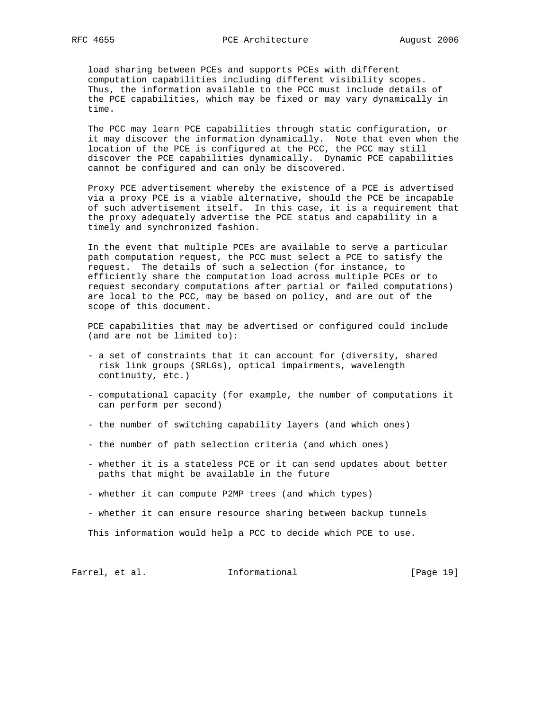load sharing between PCEs and supports PCEs with different computation capabilities including different visibility scopes. Thus, the information available to the PCC must include details of the PCE capabilities, which may be fixed or may vary dynamically in time.

 The PCC may learn PCE capabilities through static configuration, or it may discover the information dynamically. Note that even when the location of the PCE is configured at the PCC, the PCC may still discover the PCE capabilities dynamically. Dynamic PCE capabilities cannot be configured and can only be discovered.

 Proxy PCE advertisement whereby the existence of a PCE is advertised via a proxy PCE is a viable alternative, should the PCE be incapable of such advertisement itself. In this case, it is a requirement that the proxy adequately advertise the PCE status and capability in a timely and synchronized fashion.

 In the event that multiple PCEs are available to serve a particular path computation request, the PCC must select a PCE to satisfy the request. The details of such a selection (for instance, to efficiently share the computation load across multiple PCEs or to request secondary computations after partial or failed computations) are local to the PCC, may be based on policy, and are out of the scope of this document.

 PCE capabilities that may be advertised or configured could include (and are not be limited to):

- a set of constraints that it can account for (diversity, shared risk link groups (SRLGs), optical impairments, wavelength continuity, etc.)
- computational capacity (for example, the number of computations it can perform per second)
- the number of switching capability layers (and which ones)
- the number of path selection criteria (and which ones)
- whether it is a stateless PCE or it can send updates about better paths that might be available in the future
- whether it can compute P2MP trees (and which types)
- whether it can ensure resource sharing between backup tunnels

This information would help a PCC to decide which PCE to use.

Farrel, et al. 1nformational [Page 19]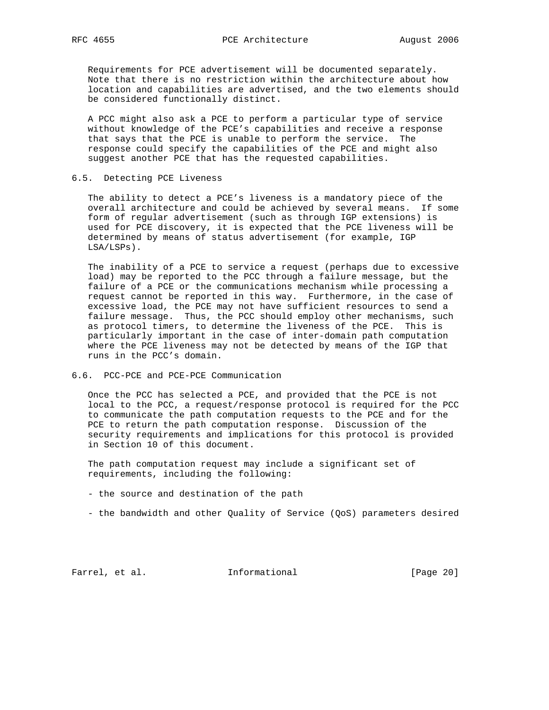Requirements for PCE advertisement will be documented separately. Note that there is no restriction within the architecture about how location and capabilities are advertised, and the two elements should be considered functionally distinct.

 A PCC might also ask a PCE to perform a particular type of service without knowledge of the PCE's capabilities and receive a response that says that the PCE is unable to perform the service. The response could specify the capabilities of the PCE and might also suggest another PCE that has the requested capabilities.

#### 6.5. Detecting PCE Liveness

 The ability to detect a PCE's liveness is a mandatory piece of the overall architecture and could be achieved by several means. If some form of regular advertisement (such as through IGP extensions) is used for PCE discovery, it is expected that the PCE liveness will be determined by means of status advertisement (for example, IGP LSA/LSPs).

 The inability of a PCE to service a request (perhaps due to excessive load) may be reported to the PCC through a failure message, but the failure of a PCE or the communications mechanism while processing a request cannot be reported in this way. Furthermore, in the case of excessive load, the PCE may not have sufficient resources to send a failure message. Thus, the PCC should employ other mechanisms, such as protocol timers, to determine the liveness of the PCE. This is particularly important in the case of inter-domain path computation where the PCE liveness may not be detected by means of the IGP that runs in the PCC's domain.

### 6.6. PCC-PCE and PCE-PCE Communication

 Once the PCC has selected a PCE, and provided that the PCE is not local to the PCC, a request/response protocol is required for the PCC to communicate the path computation requests to the PCE and for the PCE to return the path computation response. Discussion of the security requirements and implications for this protocol is provided in Section 10 of this document.

 The path computation request may include a significant set of requirements, including the following:

- the source and destination of the path
- the bandwidth and other Quality of Service (QoS) parameters desired

Farrel, et al. 1nformational [Page 20]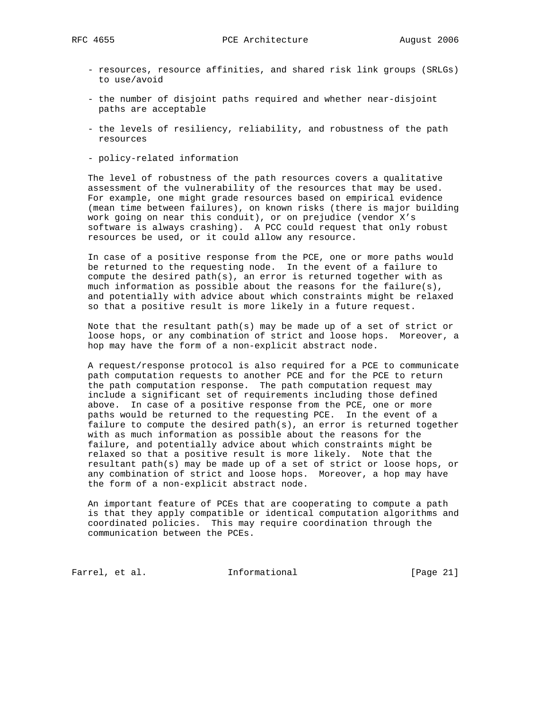- resources, resource affinities, and shared risk link groups (SRLGs) to use/avoid
- the number of disjoint paths required and whether near-disjoint paths are acceptable
- the levels of resiliency, reliability, and robustness of the path resources
- policy-related information

 The level of robustness of the path resources covers a qualitative assessment of the vulnerability of the resources that may be used. For example, one might grade resources based on empirical evidence (mean time between failures), on known risks (there is major building work going on near this conduit), or on prejudice (vendor X's software is always crashing). A PCC could request that only robust resources be used, or it could allow any resource.

 In case of a positive response from the PCE, one or more paths would be returned to the requesting node. In the event of a failure to compute the desired path(s), an error is returned together with as much information as possible about the reasons for the failure(s), and potentially with advice about which constraints might be relaxed so that a positive result is more likely in a future request.

 Note that the resultant path(s) may be made up of a set of strict or loose hops, or any combination of strict and loose hops. Moreover, a hop may have the form of a non-explicit abstract node.

 A request/response protocol is also required for a PCE to communicate path computation requests to another PCE and for the PCE to return the path computation response. The path computation request may include a significant set of requirements including those defined above. In case of a positive response from the PCE, one or more paths would be returned to the requesting PCE. In the event of a failure to compute the desired path(s), an error is returned together with as much information as possible about the reasons for the failure, and potentially advice about which constraints might be relaxed so that a positive result is more likely. Note that the resultant path(s) may be made up of a set of strict or loose hops, or any combination of strict and loose hops. Moreover, a hop may have the form of a non-explicit abstract node.

 An important feature of PCEs that are cooperating to compute a path is that they apply compatible or identical computation algorithms and coordinated policies. This may require coordination through the communication between the PCEs.

Farrel, et al. 1nformational [Page 21]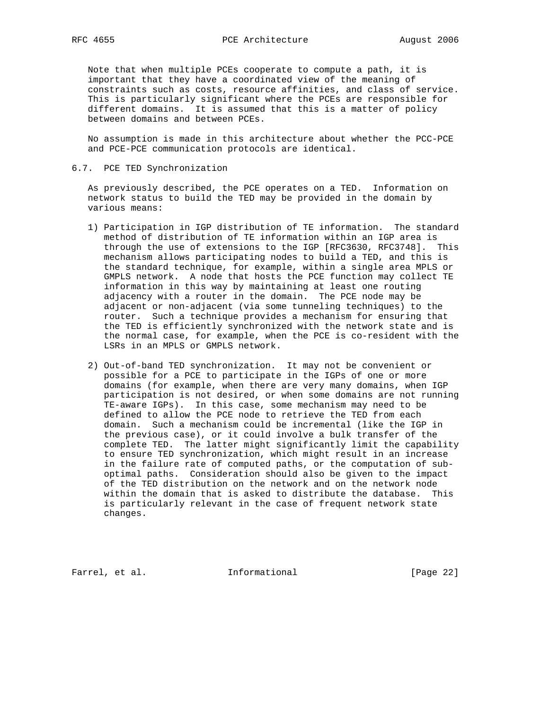Note that when multiple PCEs cooperate to compute a path, it is important that they have a coordinated view of the meaning of constraints such as costs, resource affinities, and class of service. This is particularly significant where the PCEs are responsible for different domains. It is assumed that this is a matter of policy between domains and between PCEs.

 No assumption is made in this architecture about whether the PCC-PCE and PCE-PCE communication protocols are identical.

#### 6.7. PCE TED Synchronization

 As previously described, the PCE operates on a TED. Information on network status to build the TED may be provided in the domain by various means:

- 1) Participation in IGP distribution of TE information. The standard method of distribution of TE information within an IGP area is through the use of extensions to the IGP [RFC3630, RFC3748]. This mechanism allows participating nodes to build a TED, and this is the standard technique, for example, within a single area MPLS or GMPLS network. A node that hosts the PCE function may collect TE information in this way by maintaining at least one routing adjacency with a router in the domain. The PCE node may be adjacent or non-adjacent (via some tunneling techniques) to the router. Such a technique provides a mechanism for ensuring that the TED is efficiently synchronized with the network state and is the normal case, for example, when the PCE is co-resident with the LSRs in an MPLS or GMPLS network.
- 2) Out-of-band TED synchronization. It may not be convenient or possible for a PCE to participate in the IGPs of one or more domains (for example, when there are very many domains, when IGP participation is not desired, or when some domains are not running TE-aware IGPs). In this case, some mechanism may need to be defined to allow the PCE node to retrieve the TED from each domain. Such a mechanism could be incremental (like the IGP in the previous case), or it could involve a bulk transfer of the complete TED. The latter might significantly limit the capability to ensure TED synchronization, which might result in an increase in the failure rate of computed paths, or the computation of sub optimal paths. Consideration should also be given to the impact of the TED distribution on the network and on the network node within the domain that is asked to distribute the database. This is particularly relevant in the case of frequent network state changes.

Farrel, et al. **Informational** [Page 22]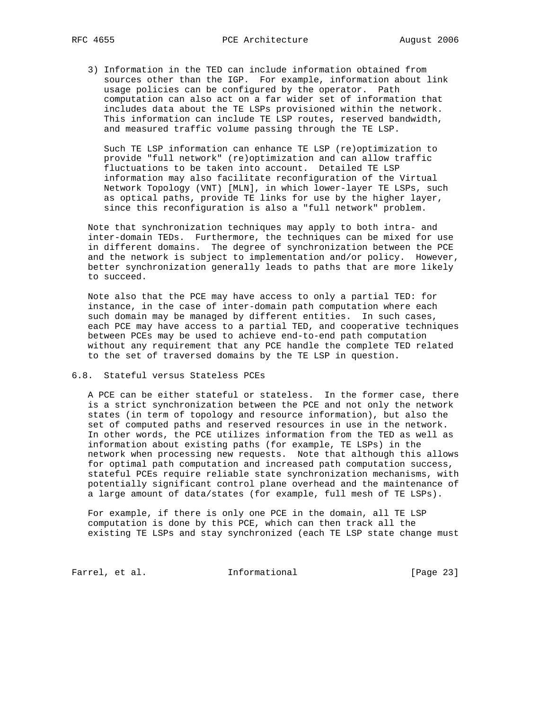3) Information in the TED can include information obtained from sources other than the IGP. For example, information about link usage policies can be configured by the operator. Path computation can also act on a far wider set of information that includes data about the TE LSPs provisioned within the network. This information can include TE LSP routes, reserved bandwidth, and measured traffic volume passing through the TE LSP.

Such TE LSP information can enhance TE LSP (re)optimization to provide "full network" (re)optimization and can allow traffic fluctuations to be taken into account. Detailed TE LSP information may also facilitate reconfiguration of the Virtual Network Topology (VNT) [MLN], in which lower-layer TE LSPs, such as optical paths, provide TE links for use by the higher layer, since this reconfiguration is also a "full network" problem.

 Note that synchronization techniques may apply to both intra- and inter-domain TEDs. Furthermore, the techniques can be mixed for use in different domains. The degree of synchronization between the PCE and the network is subject to implementation and/or policy. However, better synchronization generally leads to paths that are more likely to succeed.

 Note also that the PCE may have access to only a partial TED: for instance, in the case of inter-domain path computation where each such domain may be managed by different entities. In such cases, each PCE may have access to a partial TED, and cooperative techniques between PCEs may be used to achieve end-to-end path computation without any requirement that any PCE handle the complete TED related to the set of traversed domains by the TE LSP in question.

#### 6.8. Stateful versus Stateless PCEs

 A PCE can be either stateful or stateless. In the former case, there is a strict synchronization between the PCE and not only the network states (in term of topology and resource information), but also the set of computed paths and reserved resources in use in the network. In other words, the PCE utilizes information from the TED as well as information about existing paths (for example, TE LSPs) in the network when processing new requests. Note that although this allows for optimal path computation and increased path computation success, stateful PCEs require reliable state synchronization mechanisms, with potentially significant control plane overhead and the maintenance of a large amount of data/states (for example, full mesh of TE LSPs).

 For example, if there is only one PCE in the domain, all TE LSP computation is done by this PCE, which can then track all the existing TE LSPs and stay synchronized (each TE LSP state change must

Farrel, et al. 1nformational [Page 23]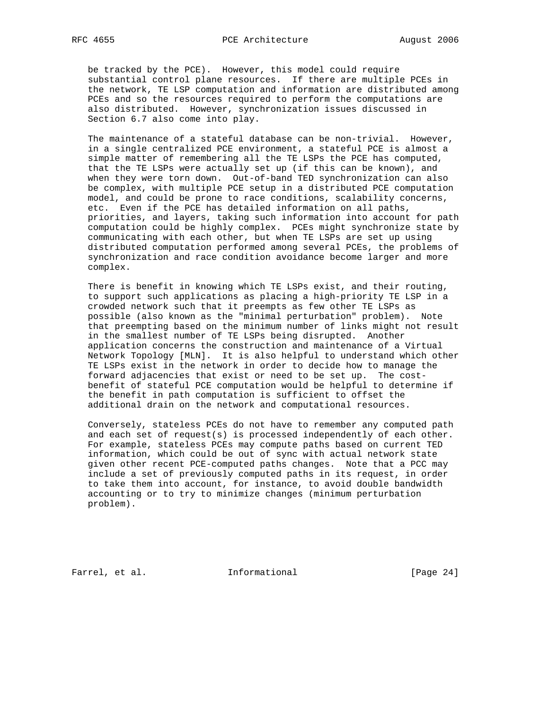be tracked by the PCE). However, this model could require substantial control plane resources. If there are multiple PCEs in the network, TE LSP computation and information are distributed among PCEs and so the resources required to perform the computations are also distributed. However, synchronization issues discussed in Section 6.7 also come into play.

 The maintenance of a stateful database can be non-trivial. However, in a single centralized PCE environment, a stateful PCE is almost a simple matter of remembering all the TE LSPs the PCE has computed, that the TE LSPs were actually set up (if this can be known), and when they were torn down. Out-of-band TED synchronization can also be complex, with multiple PCE setup in a distributed PCE computation model, and could be prone to race conditions, scalability concerns, etc. Even if the PCE has detailed information on all paths, priorities, and layers, taking such information into account for path computation could be highly complex. PCEs might synchronize state by communicating with each other, but when TE LSPs are set up using distributed computation performed among several PCEs, the problems of synchronization and race condition avoidance become larger and more complex.

 There is benefit in knowing which TE LSPs exist, and their routing, to support such applications as placing a high-priority TE LSP in a crowded network such that it preempts as few other TE LSPs as possible (also known as the "minimal perturbation" problem). Note that preempting based on the minimum number of links might not result in the smallest number of TE LSPs being disrupted. Another application concerns the construction and maintenance of a Virtual Network Topology [MLN]. It is also helpful to understand which other TE LSPs exist in the network in order to decide how to manage the forward adjacencies that exist or need to be set up. The cost benefit of stateful PCE computation would be helpful to determine if the benefit in path computation is sufficient to offset the additional drain on the network and computational resources.

 Conversely, stateless PCEs do not have to remember any computed path and each set of request(s) is processed independently of each other. For example, stateless PCEs may compute paths based on current TED information, which could be out of sync with actual network state given other recent PCE-computed paths changes. Note that a PCC may include a set of previously computed paths in its request, in order to take them into account, for instance, to avoid double bandwidth accounting or to try to minimize changes (minimum perturbation problem).

Farrel, et al. 1nformational [Page 24]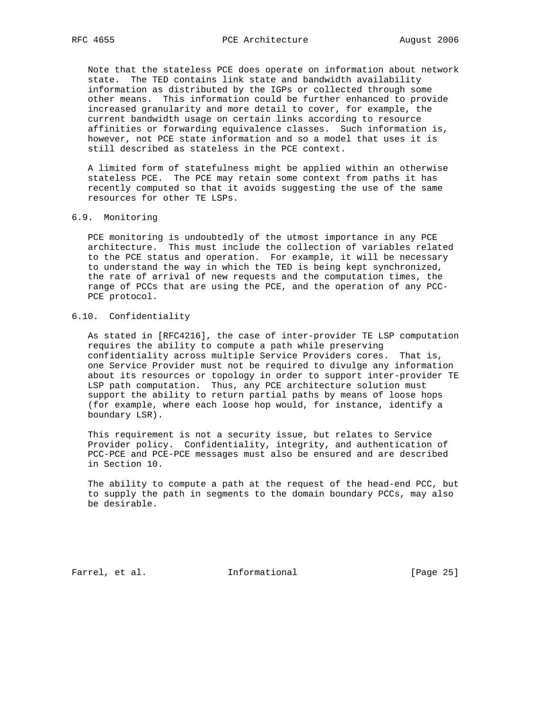Note that the stateless PCE does operate on information about network state. The TED contains link state and bandwidth availability information as distributed by the IGPs or collected through some other means. This information could be further enhanced to provide increased granularity and more detail to cover, for example, the current bandwidth usage on certain links according to resource affinities or forwarding equivalence classes. Such information is, however, not PCE state information and so a model that uses it is still described as stateless in the PCE context.

 A limited form of statefulness might be applied within an otherwise stateless PCE. The PCE may retain some context from paths it has recently computed so that it avoids suggesting the use of the same resources for other TE LSPs.

## 6.9. Monitoring

 PCE monitoring is undoubtedly of the utmost importance in any PCE architecture. This must include the collection of variables related to the PCE status and operation. For example, it will be necessary to understand the way in which the TED is being kept synchronized, the rate of arrival of new requests and the computation times, the range of PCCs that are using the PCE, and the operation of any PCC- PCE protocol.

### 6.10. Confidentiality

 As stated in [RFC4216], the case of inter-provider TE LSP computation requires the ability to compute a path while preserving confidentiality across multiple Service Providers cores. That is, one Service Provider must not be required to divulge any information about its resources or topology in order to support inter-provider TE LSP path computation. Thus, any PCE architecture solution must support the ability to return partial paths by means of loose hops (for example, where each loose hop would, for instance, identify a boundary LSR).

 This requirement is not a security issue, but relates to Service Provider policy. Confidentiality, integrity, and authentication of PCC-PCE and PCE-PCE messages must also be ensured and are described in Section 10.

 The ability to compute a path at the request of the head-end PCC, but to supply the path in segments to the domain boundary PCCs, may also be desirable.

Farrel, et al. 1nformational [Page 25]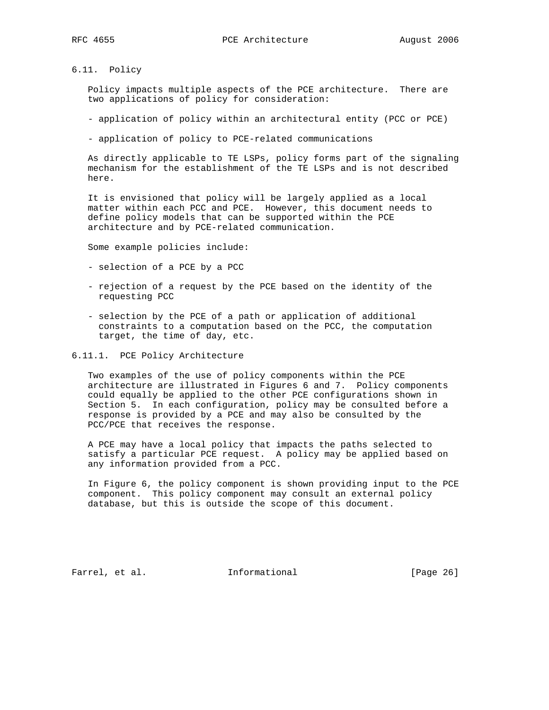6.11. Policy

 Policy impacts multiple aspects of the PCE architecture. There are two applications of policy for consideration:

- application of policy within an architectural entity (PCC or PCE)
- application of policy to PCE-related communications

 As directly applicable to TE LSPs, policy forms part of the signaling mechanism for the establishment of the TE LSPs and is not described here.

 It is envisioned that policy will be largely applied as a local matter within each PCC and PCE. However, this document needs to define policy models that can be supported within the PCE architecture and by PCE-related communication.

Some example policies include:

- selection of a PCE by a PCC
- rejection of a request by the PCE based on the identity of the requesting PCC
- selection by the PCE of a path or application of additional constraints to a computation based on the PCC, the computation target, the time of day, etc.

6.11.1. PCE Policy Architecture

 Two examples of the use of policy components within the PCE architecture are illustrated in Figures 6 and 7. Policy components could equally be applied to the other PCE configurations shown in Section 5. In each configuration, policy may be consulted before a response is provided by a PCE and may also be consulted by the PCC/PCE that receives the response.

 A PCE may have a local policy that impacts the paths selected to satisfy a particular PCE request. A policy may be applied based on any information provided from a PCC.

 In Figure 6, the policy component is shown providing input to the PCE component. This policy component may consult an external policy database, but this is outside the scope of this document.

Farrel, et al. **Informational** [Page 26]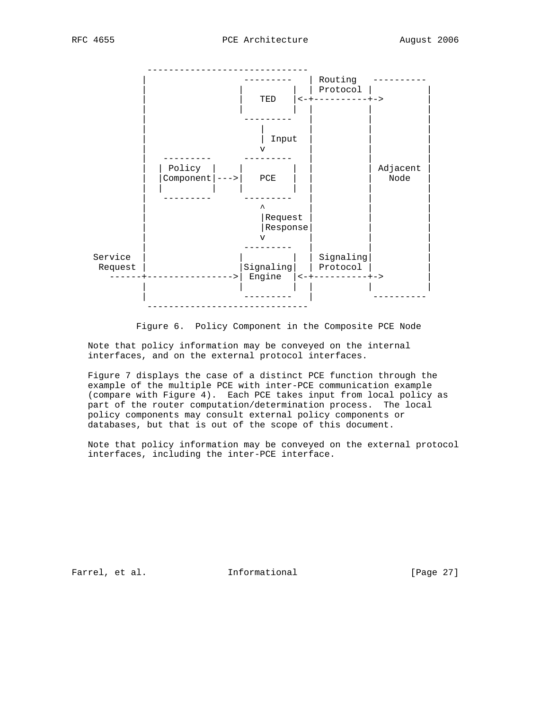

Figure 6. Policy Component in the Composite PCE Node

 Note that policy information may be conveyed on the internal interfaces, and on the external protocol interfaces.

 Figure 7 displays the case of a distinct PCE function through the example of the multiple PCE with inter-PCE communication example (compare with Figure 4). Each PCE takes input from local policy as part of the router computation/determination process. The local policy components may consult external policy components or databases, but that is out of the scope of this document.

 Note that policy information may be conveyed on the external protocol interfaces, including the inter-PCE interface.

Farrel, et al. 1nformational [Page 27]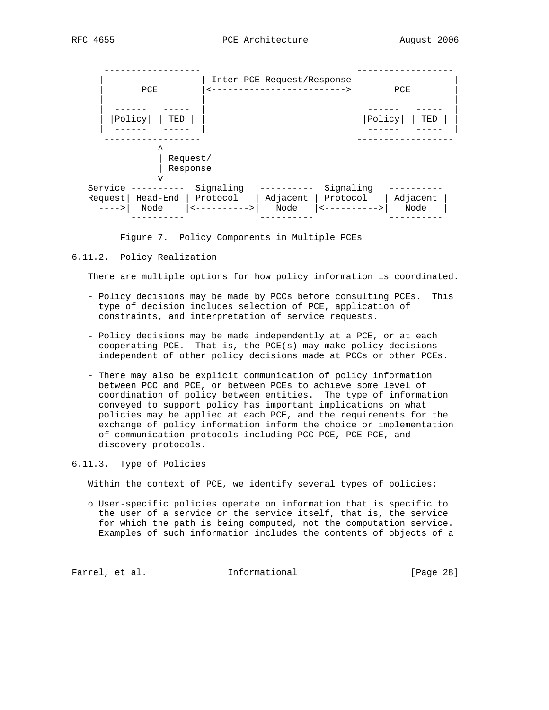

Figure 7. Policy Components in Multiple PCEs

6.11.2. Policy Realization

There are multiple options for how policy information is coordinated.

- Policy decisions may be made by PCCs before consulting PCEs. This type of decision includes selection of PCE, application of constraints, and interpretation of service requests.
- Policy decisions may be made independently at a PCE, or at each cooperating PCE. That is, the PCE(s) may make policy decisions independent of other policy decisions made at PCCs or other PCEs.
- There may also be explicit communication of policy information between PCC and PCE, or between PCEs to achieve some level of coordination of policy between entities. The type of information conveyed to support policy has important implications on what policies may be applied at each PCE, and the requirements for the exchange of policy information inform the choice or implementation of communication protocols including PCC-PCE, PCE-PCE, and discovery protocols.
- 6.11.3. Type of Policies

Within the context of PCE, we identify several types of policies:

 o User-specific policies operate on information that is specific to the user of a service or the service itself, that is, the service for which the path is being computed, not the computation service. Examples of such information includes the contents of objects of a

Farrel, et al. 1nformational 1999 [Page 28]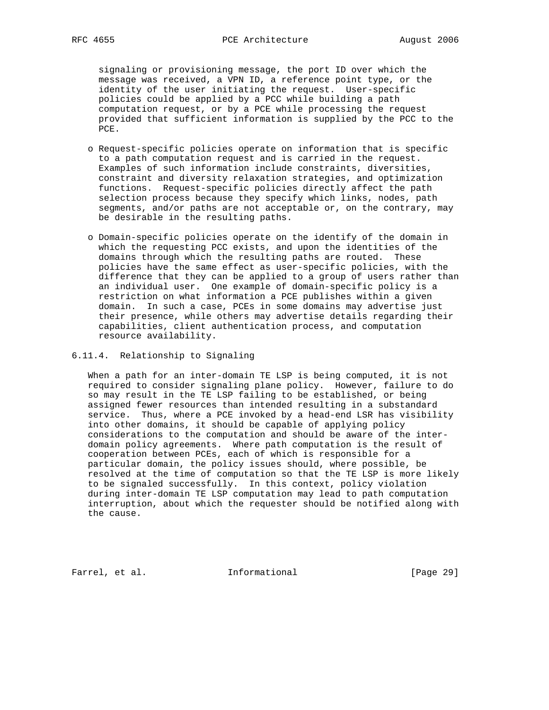signaling or provisioning message, the port ID over which the message was received, a VPN ID, a reference point type, or the identity of the user initiating the request. User-specific policies could be applied by a PCC while building a path computation request, or by a PCE while processing the request provided that sufficient information is supplied by the PCC to the PCE.

- o Request-specific policies operate on information that is specific to a path computation request and is carried in the request. Examples of such information include constraints, diversities, constraint and diversity relaxation strategies, and optimization functions. Request-specific policies directly affect the path selection process because they specify which links, nodes, path segments, and/or paths are not acceptable or, on the contrary, may be desirable in the resulting paths.
- o Domain-specific policies operate on the identify of the domain in which the requesting PCC exists, and upon the identities of the domains through which the resulting paths are routed. These policies have the same effect as user-specific policies, with the difference that they can be applied to a group of users rather than an individual user. One example of domain-specific policy is a restriction on what information a PCE publishes within a given domain. In such a case, PCEs in some domains may advertise just their presence, while others may advertise details regarding their capabilities, client authentication process, and computation resource availability.

#### 6.11.4. Relationship to Signaling

 When a path for an inter-domain TE LSP is being computed, it is not required to consider signaling plane policy. However, failure to do so may result in the TE LSP failing to be established, or being assigned fewer resources than intended resulting in a substandard service. Thus, where a PCE invoked by a head-end LSR has visibility into other domains, it should be capable of applying policy considerations to the computation and should be aware of the inter domain policy agreements. Where path computation is the result of cooperation between PCEs, each of which is responsible for a particular domain, the policy issues should, where possible, be resolved at the time of computation so that the TE LSP is more likely to be signaled successfully. In this context, policy violation during inter-domain TE LSP computation may lead to path computation interruption, about which the requester should be notified along with the cause.

Farrel, et al. 1nformational 1999 [Page 29]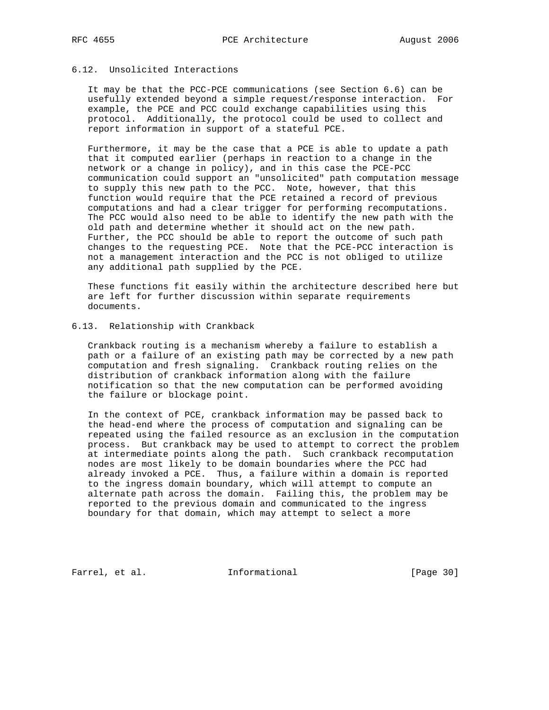# 6.12. Unsolicited Interactions

 It may be that the PCC-PCE communications (see Section 6.6) can be usefully extended beyond a simple request/response interaction. For example, the PCE and PCC could exchange capabilities using this protocol. Additionally, the protocol could be used to collect and report information in support of a stateful PCE.

 Furthermore, it may be the case that a PCE is able to update a path that it computed earlier (perhaps in reaction to a change in the network or a change in policy), and in this case the PCE-PCC communication could support an "unsolicited" path computation message to supply this new path to the PCC. Note, however, that this function would require that the PCE retained a record of previous computations and had a clear trigger for performing recomputations. The PCC would also need to be able to identify the new path with the old path and determine whether it should act on the new path. Further, the PCC should be able to report the outcome of such path changes to the requesting PCE. Note that the PCE-PCC interaction is not a management interaction and the PCC is not obliged to utilize any additional path supplied by the PCE.

 These functions fit easily within the architecture described here but are left for further discussion within separate requirements documents.

### 6.13. Relationship with Crankback

 Crankback routing is a mechanism whereby a failure to establish a path or a failure of an existing path may be corrected by a new path computation and fresh signaling. Crankback routing relies on the distribution of crankback information along with the failure notification so that the new computation can be performed avoiding the failure or blockage point.

 In the context of PCE, crankback information may be passed back to the head-end where the process of computation and signaling can be repeated using the failed resource as an exclusion in the computation process. But crankback may be used to attempt to correct the problem at intermediate points along the path. Such crankback recomputation nodes are most likely to be domain boundaries where the PCC had already invoked a PCE. Thus, a failure within a domain is reported to the ingress domain boundary, which will attempt to compute an alternate path across the domain. Failing this, the problem may be reported to the previous domain and communicated to the ingress boundary for that domain, which may attempt to select a more

Farrel, et al. 1nformational [Page 30]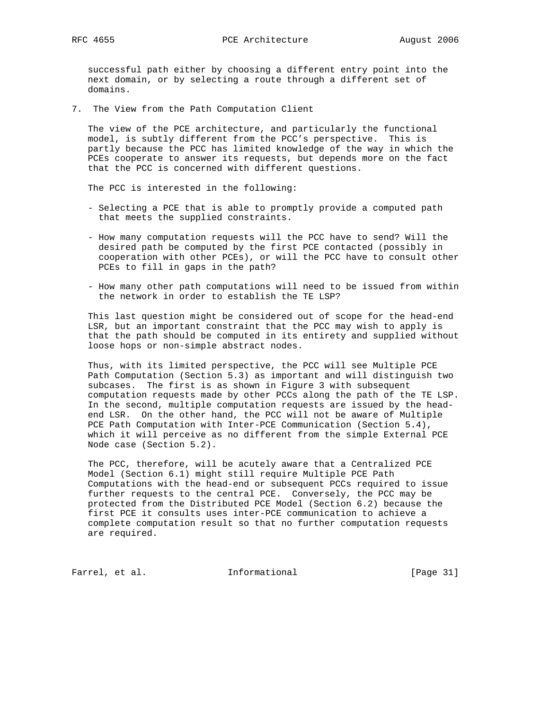successful path either by choosing a different entry point into the next domain, or by selecting a route through a different set of domains.

7. The View from the Path Computation Client

 The view of the PCE architecture, and particularly the functional model, is subtly different from the PCC's perspective. This is partly because the PCC has limited knowledge of the way in which the PCEs cooperate to answer its requests, but depends more on the fact that the PCC is concerned with different questions.

The PCC is interested in the following:

- Selecting a PCE that is able to promptly provide a computed path that meets the supplied constraints.
- How many computation requests will the PCC have to send? Will the desired path be computed by the first PCE contacted (possibly in cooperation with other PCEs), or will the PCC have to consult other PCEs to fill in gaps in the path?
- How many other path computations will need to be issued from within the network in order to establish the TE LSP?

 This last question might be considered out of scope for the head-end LSR, but an important constraint that the PCC may wish to apply is that the path should be computed in its entirety and supplied without loose hops or non-simple abstract nodes.

 Thus, with its limited perspective, the PCC will see Multiple PCE Path Computation (Section 5.3) as important and will distinguish two subcases. The first is as shown in Figure 3 with subsequent computation requests made by other PCCs along the path of the TE LSP. In the second, multiple computation requests are issued by the head end LSR. On the other hand, the PCC will not be aware of Multiple PCE Path Computation with Inter-PCE Communication (Section 5.4), which it will perceive as no different from the simple External PCE Node case (Section 5.2).

 The PCC, therefore, will be acutely aware that a Centralized PCE Model (Section 6.1) might still require Multiple PCE Path Computations with the head-end or subsequent PCCs required to issue further requests to the central PCE. Conversely, the PCC may be protected from the Distributed PCE Model (Section 6.2) because the first PCE it consults uses inter-PCE communication to achieve a complete computation result so that no further computation requests are required.

Farrel, et al. 1nformational [Page 31]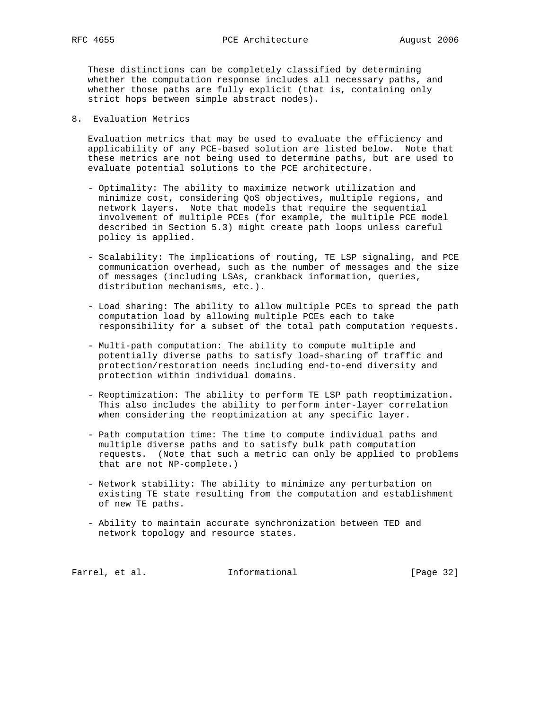These distinctions can be completely classified by determining whether the computation response includes all necessary paths, and whether those paths are fully explicit (that is, containing only strict hops between simple abstract nodes).

8. Evaluation Metrics

 Evaluation metrics that may be used to evaluate the efficiency and applicability of any PCE-based solution are listed below. Note that these metrics are not being used to determine paths, but are used to evaluate potential solutions to the PCE architecture.

- Optimality: The ability to maximize network utilization and minimize cost, considering QoS objectives, multiple regions, and network layers. Note that models that require the sequential involvement of multiple PCEs (for example, the multiple PCE model described in Section 5.3) might create path loops unless careful policy is applied.
- Scalability: The implications of routing, TE LSP signaling, and PCE communication overhead, such as the number of messages and the size of messages (including LSAs, crankback information, queries, distribution mechanisms, etc.).
- Load sharing: The ability to allow multiple PCEs to spread the path computation load by allowing multiple PCEs each to take responsibility for a subset of the total path computation requests.
- Multi-path computation: The ability to compute multiple and potentially diverse paths to satisfy load-sharing of traffic and protection/restoration needs including end-to-end diversity and protection within individual domains.
- Reoptimization: The ability to perform TE LSP path reoptimization. This also includes the ability to perform inter-layer correlation when considering the reoptimization at any specific layer.
- Path computation time: The time to compute individual paths and multiple diverse paths and to satisfy bulk path computation requests. (Note that such a metric can only be applied to problems that are not NP-complete.)
- Network stability: The ability to minimize any perturbation on existing TE state resulting from the computation and establishment of new TE paths.
- Ability to maintain accurate synchronization between TED and network topology and resource states.

Farrel, et al. 1nformational 1999 [Page 32]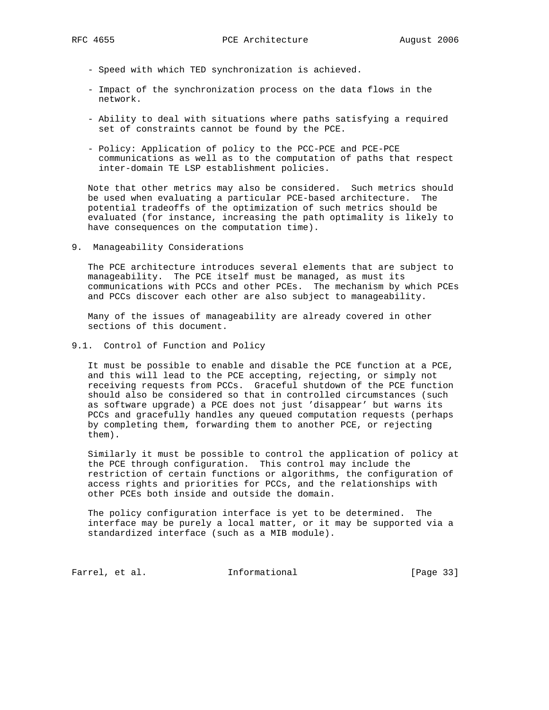- Speed with which TED synchronization is achieved.
- Impact of the synchronization process on the data flows in the network.
- Ability to deal with situations where paths satisfying a required set of constraints cannot be found by the PCE.
- Policy: Application of policy to the PCC-PCE and PCE-PCE communications as well as to the computation of paths that respect inter-domain TE LSP establishment policies.

 Note that other metrics may also be considered. Such metrics should be used when evaluating a particular PCE-based architecture. The potential tradeoffs of the optimization of such metrics should be evaluated (for instance, increasing the path optimality is likely to have consequences on the computation time).

9. Manageability Considerations

 The PCE architecture introduces several elements that are subject to manageability. The PCE itself must be managed, as must its communications with PCCs and other PCEs. The mechanism by which PCEs and PCCs discover each other are also subject to manageability.

 Many of the issues of manageability are already covered in other sections of this document.

9.1. Control of Function and Policy

 It must be possible to enable and disable the PCE function at a PCE, and this will lead to the PCE accepting, rejecting, or simply not receiving requests from PCCs. Graceful shutdown of the PCE function should also be considered so that in controlled circumstances (such as software upgrade) a PCE does not just 'disappear' but warns its PCCs and gracefully handles any queued computation requests (perhaps by completing them, forwarding them to another PCE, or rejecting them).

 Similarly it must be possible to control the application of policy at the PCE through configuration. This control may include the restriction of certain functions or algorithms, the configuration of access rights and priorities for PCCs, and the relationships with other PCEs both inside and outside the domain.

 The policy configuration interface is yet to be determined. The interface may be purely a local matter, or it may be supported via a standardized interface (such as a MIB module).

Farrel, et al. 1nformational [Page 33]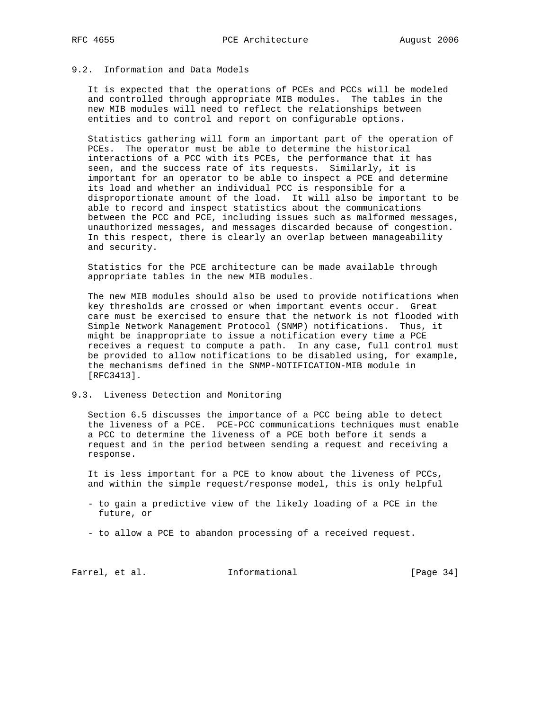# 9.2. Information and Data Models

 It is expected that the operations of PCEs and PCCs will be modeled and controlled through appropriate MIB modules. The tables in the new MIB modules will need to reflect the relationships between entities and to control and report on configurable options.

 Statistics gathering will form an important part of the operation of PCEs. The operator must be able to determine the historical interactions of a PCC with its PCEs, the performance that it has seen, and the success rate of its requests. Similarly, it is important for an operator to be able to inspect a PCE and determine its load and whether an individual PCC is responsible for a disproportionate amount of the load. It will also be important to be able to record and inspect statistics about the communications between the PCC and PCE, including issues such as malformed messages, unauthorized messages, and messages discarded because of congestion. In this respect, there is clearly an overlap between manageability and security.

 Statistics for the PCE architecture can be made available through appropriate tables in the new MIB modules.

 The new MIB modules should also be used to provide notifications when key thresholds are crossed or when important events occur. Great care must be exercised to ensure that the network is not flooded with Simple Network Management Protocol (SNMP) notifications. Thus, it might be inappropriate to issue a notification every time a PCE receives a request to compute a path. In any case, full control must be provided to allow notifications to be disabled using, for example, the mechanisms defined in the SNMP-NOTIFICATION-MIB module in [RFC3413].

## 9.3. Liveness Detection and Monitoring

 Section 6.5 discusses the importance of a PCC being able to detect the liveness of a PCE. PCE-PCC communications techniques must enable a PCC to determine the liveness of a PCE both before it sends a request and in the period between sending a request and receiving a response.

 It is less important for a PCE to know about the liveness of PCCs, and within the simple request/response model, this is only helpful

- to gain a predictive view of the likely loading of a PCE in the future, or
- to allow a PCE to abandon processing of a received request.

Farrel, et al. 1nformational [Page 34]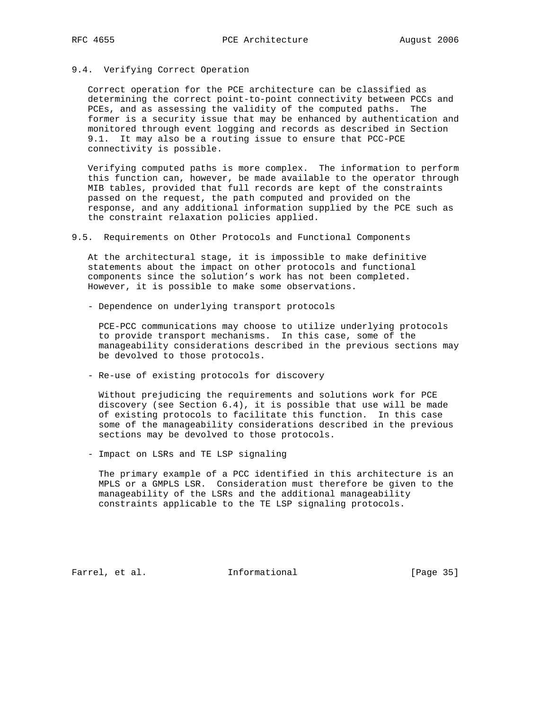## 9.4. Verifying Correct Operation

 Correct operation for the PCE architecture can be classified as determining the correct point-to-point connectivity between PCCs and PCEs, and as assessing the validity of the computed paths. The former is a security issue that may be enhanced by authentication and monitored through event logging and records as described in Section 9.1. It may also be a routing issue to ensure that PCC-PCE connectivity is possible.

 Verifying computed paths is more complex. The information to perform this function can, however, be made available to the operator through MIB tables, provided that full records are kept of the constraints passed on the request, the path computed and provided on the response, and any additional information supplied by the PCE such as the constraint relaxation policies applied.

9.5. Requirements on Other Protocols and Functional Components

 At the architectural stage, it is impossible to make definitive statements about the impact on other protocols and functional components since the solution's work has not been completed. However, it is possible to make some observations.

- Dependence on underlying transport protocols

 PCE-PCC communications may choose to utilize underlying protocols to provide transport mechanisms. In this case, some of the manageability considerations described in the previous sections may be devolved to those protocols.

- Re-use of existing protocols for discovery

 Without prejudicing the requirements and solutions work for PCE discovery (see Section 6.4), it is possible that use will be made of existing protocols to facilitate this function. In this case some of the manageability considerations described in the previous sections may be devolved to those protocols.

- Impact on LSRs and TE LSP signaling

 The primary example of a PCC identified in this architecture is an MPLS or a GMPLS LSR. Consideration must therefore be given to the manageability of the LSRs and the additional manageability constraints applicable to the TE LSP signaling protocols.

Farrel, et al. 1nformational [Page 35]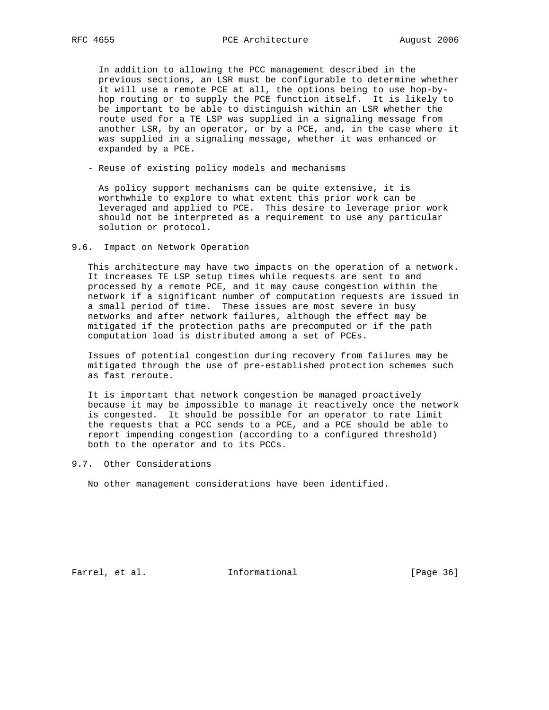In addition to allowing the PCC management described in the previous sections, an LSR must be configurable to determine whether it will use a remote PCE at all, the options being to use hop-by hop routing or to supply the PCE function itself. It is likely to be important to be able to distinguish within an LSR whether the route used for a TE LSP was supplied in a signaling message from another LSR, by an operator, or by a PCE, and, in the case where it was supplied in a signaling message, whether it was enhanced or expanded by a PCE.

- Reuse of existing policy models and mechanisms

 As policy support mechanisms can be quite extensive, it is worthwhile to explore to what extent this prior work can be leveraged and applied to PCE. This desire to leverage prior work should not be interpreted as a requirement to use any particular solution or protocol.

#### 9.6. Impact on Network Operation

 This architecture may have two impacts on the operation of a network. It increases TE LSP setup times while requests are sent to and processed by a remote PCE, and it may cause congestion within the network if a significant number of computation requests are issued in a small period of time. These issues are most severe in busy networks and after network failures, although the effect may be mitigated if the protection paths are precomputed or if the path computation load is distributed among a set of PCEs.

 Issues of potential congestion during recovery from failures may be mitigated through the use of pre-established protection schemes such as fast reroute.

 It is important that network congestion be managed proactively because it may be impossible to manage it reactively once the network is congested. It should be possible for an operator to rate limit the requests that a PCC sends to a PCE, and a PCE should be able to report impending congestion (according to a configured threshold) both to the operator and to its PCCs.

9.7. Other Considerations

No other management considerations have been identified.

Farrel, et al. 1nformational [Page 36]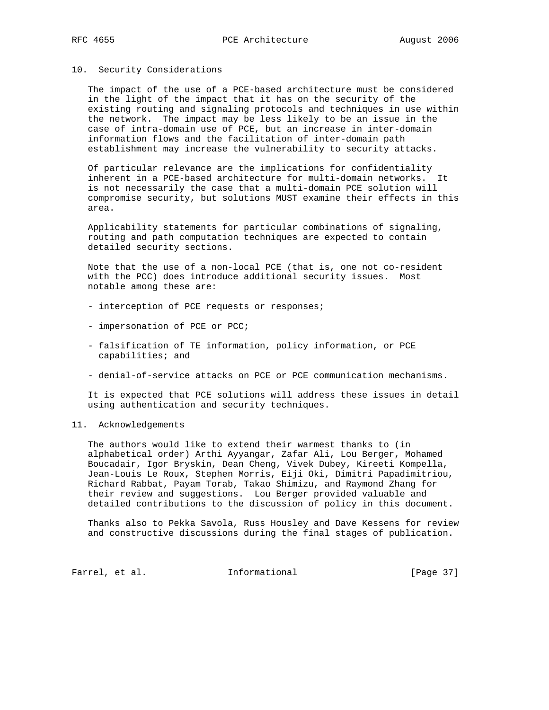## 10. Security Considerations

 The impact of the use of a PCE-based architecture must be considered in the light of the impact that it has on the security of the existing routing and signaling protocols and techniques in use within the network. The impact may be less likely to be an issue in the case of intra-domain use of PCE, but an increase in inter-domain information flows and the facilitation of inter-domain path establishment may increase the vulnerability to security attacks.

 Of particular relevance are the implications for confidentiality inherent in a PCE-based architecture for multi-domain networks. It is not necessarily the case that a multi-domain PCE solution will compromise security, but solutions MUST examine their effects in this area.

 Applicability statements for particular combinations of signaling, routing and path computation techniques are expected to contain detailed security sections.

 Note that the use of a non-local PCE (that is, one not co-resident with the PCC) does introduce additional security issues. Most notable among these are:

- interception of PCE requests or responses;
- impersonation of PCE or PCC;
- falsification of TE information, policy information, or PCE capabilities; and
- denial-of-service attacks on PCE or PCE communication mechanisms.

 It is expected that PCE solutions will address these issues in detail using authentication and security techniques.

# 11. Acknowledgements

 The authors would like to extend their warmest thanks to (in alphabetical order) Arthi Ayyangar, Zafar Ali, Lou Berger, Mohamed Boucadair, Igor Bryskin, Dean Cheng, Vivek Dubey, Kireeti Kompella, Jean-Louis Le Roux, Stephen Morris, Eiji Oki, Dimitri Papadimitriou, Richard Rabbat, Payam Torab, Takao Shimizu, and Raymond Zhang for their review and suggestions. Lou Berger provided valuable and detailed contributions to the discussion of policy in this document.

 Thanks also to Pekka Savola, Russ Housley and Dave Kessens for review and constructive discussions during the final stages of publication.

Farrel, et al. 1nformational [Page 37]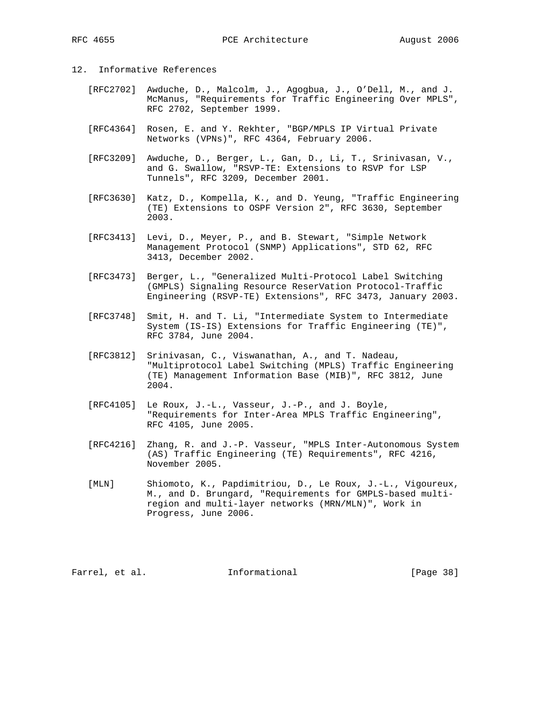# 12. Informative References

- [RFC2702] Awduche, D., Malcolm, J., Agogbua, J., O'Dell, M., and J. McManus, "Requirements for Traffic Engineering Over MPLS", RFC 2702, September 1999.
- [RFC4364] Rosen, E. and Y. Rekhter, "BGP/MPLS IP Virtual Private Networks (VPNs)", RFC 4364, February 2006.
- [RFC3209] Awduche, D., Berger, L., Gan, D., Li, T., Srinivasan, V., and G. Swallow, "RSVP-TE: Extensions to RSVP for LSP Tunnels", RFC 3209, December 2001.
- [RFC3630] Katz, D., Kompella, K., and D. Yeung, "Traffic Engineering (TE) Extensions to OSPF Version 2", RFC 3630, September 2003.
- [RFC3413] Levi, D., Meyer, P., and B. Stewart, "Simple Network Management Protocol (SNMP) Applications", STD 62, RFC 3413, December 2002.
- [RFC3473] Berger, L., "Generalized Multi-Protocol Label Switching (GMPLS) Signaling Resource ReserVation Protocol-Traffic Engineering (RSVP-TE) Extensions", RFC 3473, January 2003.
- [RFC3748] Smit, H. and T. Li, "Intermediate System to Intermediate System (IS-IS) Extensions for Traffic Engineering (TE)", RFC 3784, June 2004.
- [RFC3812] Srinivasan, C., Viswanathan, A., and T. Nadeau, "Multiprotocol Label Switching (MPLS) Traffic Engineering (TE) Management Information Base (MIB)", RFC 3812, June 2004.
- [RFC4105] Le Roux, J.-L., Vasseur, J.-P., and J. Boyle, "Requirements for Inter-Area MPLS Traffic Engineering", RFC 4105, June 2005.
- [RFC4216] Zhang, R. and J.-P. Vasseur, "MPLS Inter-Autonomous System (AS) Traffic Engineering (TE) Requirements", RFC 4216, November 2005.
- [MLN] Shiomoto, K., Papdimitriou, D., Le Roux, J.-L., Vigoureux, M., and D. Brungard, "Requirements for GMPLS-based multi region and multi-layer networks (MRN/MLN)", Work in Progress, June 2006.

Farrel, et al. 1nformational 1999 [Page 38]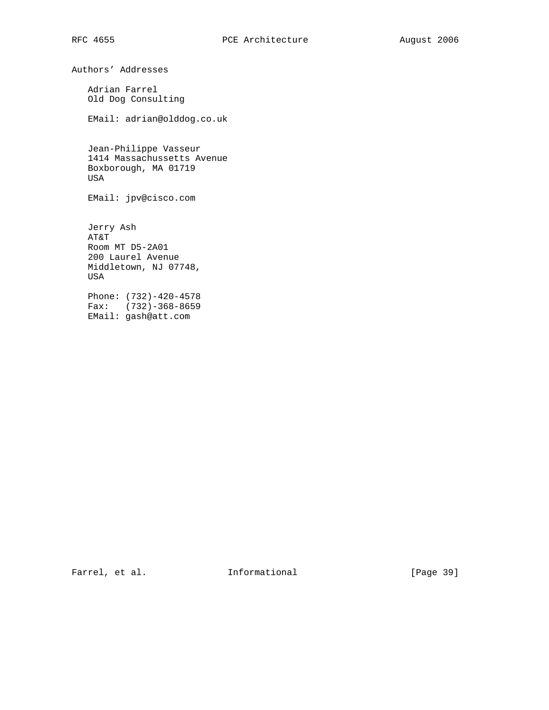Authors' Addresses

 Adrian Farrel Old Dog Consulting

EMail: adrian@olddog.co.uk

 Jean-Philippe Vasseur 1414 Massachussetts Avenue Boxborough, MA 01719 USA

EMail: jpv@cisco.com

 Jerry Ash AT&T Room MT D5-2A01 200 Laurel Avenue Middletown, NJ 07748, USA Phone: (732)-420-4578

 Fax: (732)-368-8659 EMail: gash@att.com